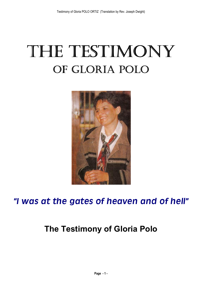# **The Testimony of Gloria Polo**



## *I was at the gates of heaven and of hell*

## **The Testimony of Gloria Polo**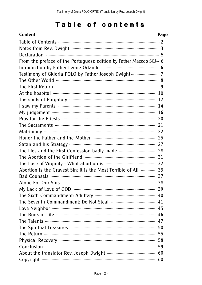## Table of contents

| <b>Content</b>                                                     | Page |
|--------------------------------------------------------------------|------|
|                                                                    |      |
|                                                                    |      |
|                                                                    |      |
| From the preface of the Portuguese edition by Father Macedo SCJ  6 |      |
|                                                                    |      |
| Testimony of Gkloria POLO by Father Joseph Dwight  7               |      |
|                                                                    |      |
|                                                                    |      |
|                                                                    |      |
|                                                                    | 12   |
| I saw my Parents …………………………………………………………………… 14                     |      |
|                                                                    | 16   |
|                                                                    |      |
|                                                                    | 21   |
|                                                                    |      |
|                                                                    |      |
|                                                                    | 27   |
|                                                                    |      |
|                                                                    |      |
|                                                                    |      |
| Abortion is the Gravest Sin; it is the Most Terrible of All  35    |      |
|                                                                    |      |
|                                                                    |      |
|                                                                    |      |
|                                                                    |      |
|                                                                    |      |
|                                                                    |      |
|                                                                    |      |
|                                                                    |      |
|                                                                    |      |
|                                                                    |      |
|                                                                    |      |
|                                                                    |      |
|                                                                    |      |
|                                                                    |      |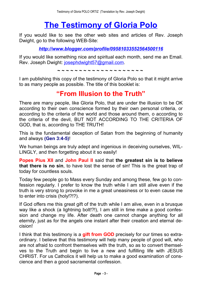## **The [Testimony](http://testimony-polo.blogspot.com/2009/11/testimony-of-gloria-polo.html) of Gloria Polo**

If you would like to see the other web sites and articles of Rev. Joseph Dwight, go to the following WEB-Site:

*<http://www.blogger.com/profile/09581033552564500116>*

If you would like something nice and spiritual each month, send me an Email. Rev. Joseph Dwight: [josephdwight57@gmail.com.](file://D:/EDV20051125/Apostolat  ANE/GloriaPolo/WEB Design/englische/josephdwight57@gmail.com)

**~ ~ ~ ~ ~ ~ ~ ~ ~ ~ ~ ~ ~ ~ ~ ~ ~ ~ ~ ~**

I am publishing this copy of the testimony of Gloria Polo so that it might arrive to as many people as possible. The title of this booklet is:

## **From Illusion to the Truth**

There are many people, like Gloria Polo, that are under the illusion to be OK according to their own conscience formed by their own personal criteria, or according to the criteria of the world and those around them, o according to the criteria of the devil, BUT NOT ACCORDING TO THE CRITERIA OF GOD, that is, according to THE TRUTH!

This is the fundamental deception of Satan from the beginning of humanity and always **(Gen 3:4-5)**!

We human beings are truly adept and ingenious in deceiving ourselves, WIL-LINGLY, and then forgetting about it so easily!

**Popes Pius XII** and **John Paul II** said that **the greatest sin is to believe that there is no sin**, to have lost the sense of sin! This is the great trap of today for countless souls.

Today few people go to Mass every Sunday and among these, few go to confession regularly. I prefer to know the truth while I am still alive even if the truth is very strong to provoke in me a great uneasiness or to even cause me to enter into crisis (holy!?!?).

If God offers me this great gift of the truth while I am alive, even in a brusque way like a shock (a lightning bolt!?!), I am still in time make a good confession and change my life. After death one cannot change anything for all eternity, just as for the angels one instant after their creation and eternal decision!

I think that this testimony is a **gift from GOD** precisely for our times so extraordinary. I believe that this testimony will help many people of good will, who are not afraid to confront themselves with the truth, so as to convert themselves to the Truth and begin to live a new and fulfilling life with JESUS CHRIST. For us Catholics it will help us to make a good examination of conscience and then a good sacramental confession.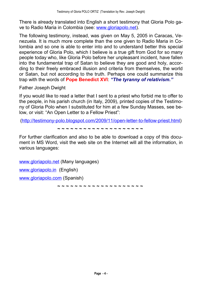There is already translated into English a short testimony that Gloria Polo gave to Radio Maria in Colombia (see: [www.gloriapolo.net\)](http://www.gloriapolo.net).

The following testimony, instead, was given on May 5, 2005 in Caracas, Venezuela. It is much more complete than the one given to Radio Maria in Colombia and so one is able to enter into and to understand better this special experience of Gloria Polo, which I believe is a true gift from God for so many people today who, like Gloria Polo before her unpleasant incident, have fallen into the fundamental trap of Satan to believe they are good and holy, according to their freely embraced illusion and criteria from themselves, the world or Satan, but not according to the truth. Perhaps one could summarize this trap with the words of **Pope Benedict XVI**: *The tyranny of relativism.*

Father Joseph Dwight

If you would like to read a letter that I sent to a priest who forbid me to offer to the people, in his parish church (in Italy, 2009), printed copies of the Testimony of Gloria Polo when I substituted for him at a few Sunday Masses, see below, or visit: "An Open Letter to a Fellow Priest":

[\(http://testimony-polo.blogspot.com/2009/11/open-letter-to-fellow-priest.html\)](http://testimony-polo.blogspot.com/2009/11/open-letter-to-fellow-priest.html)

**~ ~ ~ ~ ~ ~ ~ ~ ~ ~ ~ ~ ~ ~ ~ ~ ~ ~ ~ ~**

For further clarification and also to be able to download a copy of this document in MS Word, visit the web site on the Internet will all the information, in various languages:

[www.gloriapolo.net](http://www.gloriapolo.net) (Many languages)

[www.gloriapolo.in](http://www.gloriapolo.in) (English)

[www.gloriapolo.com](http://www.gloriapolo.com) (Spanish)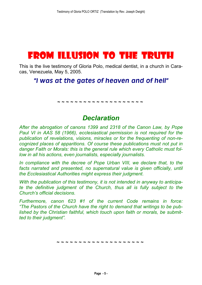## FROM ILLUSION TO THE TRUTH

This is the live testimony of Gloria Polo, medical dentist, in a church in Caracas, Venezuela, May 5, 2005.

## *I was at the gates of heaven and of hell*

**~ ~ ~ ~ ~ ~ ~ ~ ~ ~ ~ ~ ~ ~ ~ ~ ~ ~ ~ ~**

## *Declaration*

*After the abrogation of canons 1399 and 2318 of the Canon Law, by Pope Paul VI in AAS 58 (1966), ecclesiastical permission is not required for the publication of revelations, visions, miracles or for the frequenting of non-recognized places of apparitions. Of course these publications must not put in danger Faith or Morals: this is the general rule which every Catholic must follow in all his actions, even journalists, especially journalists.*

*In compliance with the decree of Pope Urban VIII, we declare that, to the facts narrated and presented, no supernatural value is given officially, until the Ecclesiastical Authorities might express their judgment.*

*With the publication of this testimony, it is not intended in anyway to anticipate the definitive judgment of the Church, thus all is fully subject to the Church's official decisions.* 

*Furthermore, canon 623 #1 of the current Code remains in force: The Pastors of the Church have the right to demand that writings to be published by the Christian faithful, which touch upon faith or morals, be submitted to their judgment.*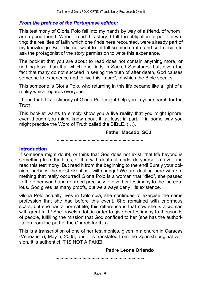#### *From the preface of the Portuguese edition:*

This testimony of Gloria Polo fell into my hands by way of a friend, of whom I am a good friend. When I read this story, I felt the obligation to put it in writing: the realities of faith which one finds here recounted, were already part of my knowledge. But I did not want to let fall so much truth, and so I decide to ask the protagonist of the story permission to write this experience.

The booklet that you are about to read does not contain anything more, or nothing less, than that which one finds in Sacred Scriptures: but, given the fact that many do not succeed in seeing the truth of after death, God causes someone to experience and to live this "more", of which the Bible speaks.

This someone is Gloria Polo, who returning in this life became like a light of a reality which regards everyone.

I hope that this testimony of Gloria Polo might help you in your search for the Truth.

This booklet wants to simply show you a live reality that you might ignore, even though you might know about it, at least in part, if in some way you might practice the Word of Truth called the BIBLE.  $( \ldots )$ .

> **Father Macedo, SCJ ~ ~ ~ ~ ~ ~ ~ ~ ~ ~ ~ ~ ~ ~ ~ ~ ~ ~ ~ ~**

#### **Introduction**

If someone might doubt, or think that God does not exist, that life beyond is something from the films, or that with death all ends, do yourself a favor and read this testimony! But read it from the beginning to the end! Surely your opinion, perhaps the most skeptical, will change! We are dealing here with something that really occurred! Gloria Polo is a woman that "died", she passed to the other world and returned precisely to give her testimony to the incredulous. God gives us many proofs, but we always deny His existence.

Gloria Polo actually lives in Colombia, she continues to exercise the same profession that she had before this event. She remained with enormous scars, but she has a normal life; this difference is that now she is a woman with great faith! She travels a lot, in order to give her testimony to thousands of people, fulfilling the mission that God confided to her (she has the authorization from the part of the Church for this).

This is a transcription of one of her testimonies, given in a church in Caracas (Venezuela), May 5, 2005, and it is translated from the Spanish original version. It is authentic! IT IS NOT A FAKE!

#### **Padre Leone Orlando**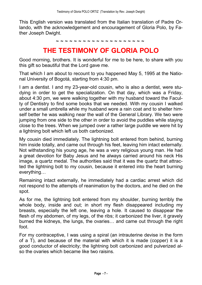This English version was translated from the Italian translation of Padre Orlando, with the acknowledgement and encouragement of Gloria Polo, by Father Joseph Dwight.

**~ ~ ~ ~ ~ ~ ~ ~ ~ ~ ~ ~ ~ ~ ~ ~ ~ ~ ~ ~**

## **THE TESTIMONY OF GLORIA POLO**

Good morning, brothers. It is wonderful for me to be here, to share with you this gift so beautiful that the Lord gave me.

That which I am about to recount to you happened May 5, 1995 at the National University of Bogotá, starting from 4:30 pm.

I am a dentist. I and my 23-year-old cousin, who is also a dentist, were studying in order to get the specialization. On that day, which was a Friday, about 4:30 pm, we were walking together with my husband toward the Faculty of Dentistry to find some books that we needed. With my cousin I walked under a small umbrella while my husband wore a rain coat and to shelter himself better he was walking near the wall of the General Library. We two were jumping from one side to the other in order to avoid the puddles while staying close to the trees. When we jumped over a rather large puddle we were hit by a lightning bolt which left us both carbonized.

My cousin died immediately. The lightning bolt entered from behind, burning him inside totally, and came out through his feet, leaving him intact externally. Not withstanding his young age, he was a very religious young man. He had a great devotion for Baby Jesus and he always carried around his neck His image, a quartz medal. The authorities said that it was the quartz that attracted the lightning bolt to my cousin, because it entered into the heart burning everything...

Remaining intact externally, he immediately had a cardiac arrest which did not respond to the attempts of reanimation by the doctors, and he died on the spot.

As for me, the lightning bolt entered from my shoulder, burning terribly the whole body, inside and out; in short my flesh disappeared including my breasts, especially the left one, leaving a hole. It caused to disappear the flesh of my abdomen, of my legs, of the ribs; it carbonized the liver, it gravely burned the kidneys, the lungs, the ovaries... and came out through the right foot.

For my contraceptive, I was using a spiral (an intrauterine devise in the form of a T), and because of the material with which it is made (copper) it is a good conductor of electricity; the lightning bolt carbonized and pulverized also the ovaries which became like two raisins.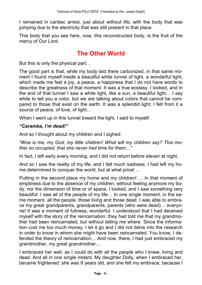I remained in cardiac arrest, just about without life, with the body that was jumping due to the electricity that was still present in that place.

This body that you see here, now, this reconstructed body, is the fruit of the mercy of Our Lord.

## **The Other World**

But this is only the physical part...

The good part is that, while my body laid there carbonized, in that same moment I found myself inside a beautiful white tunnel of light, a wonderful light, which made me feel a joy, a peace, a happiness that I do not have words to describe the greatness of that moment. It was a true ecstasy. I looked, and in the end of that tunnel I saw a white light, like a sun, a beautiful light... I say white to tell you a color, but we are talking about colors that cannot be compared to those that exist on the earth. It was a splendid light; I felt from it a source of peace, of love, of light...

When I went up in this tunnel toward the light, I said to myself:

#### *Caramba, Im dead!*

And so I thought about my children and I sighed:

*Woe is me, my God, my little children! What will my children say? This mother so occupied, that she never had time for them&*

In fact, I left early every morning, and I did not return before eleven at night.

And so I saw the reality of my life, and I felt much sadness. I had left my home determined to conquer the world, but at what price! ...

Putting in the second place my home and my children! ... In that moment of emptiness due to the absence of my children, without feeling anymore my body, nor the dimension of time or of space, I looked, and I saw something very beautiful: I saw all of the people of my life... In one single moment, in the same moment, all the people, those living and those dead. I was able to embrace my great grandparents, grandparents, parents (who were dead)... everyone! It was a moment of fullness, wonderful. I understood that I had deceived myself with the story of the reincarnation: they had told me that my grandmother had been reincarnated, but without telling me where. Since the information cost me too much money, I let it go and I did not delve into the research in order to know in whom she might have been reincarnated. You know, I defended the theory of reincarnation... And now, there, I had just embraced my grandmother, my great grandmother...

I embraced her well, as I could do with all the people who I knew, living and dead. And all in one single instant. My daughter Dolly, when I embraced her, became frightened: she was 9 years old, and she felt my embrace, because I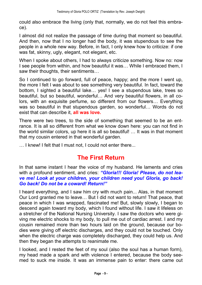could also embrace the living (only that, normally, we do not feel this embrace).

I almost did not realize the passage of time during that moment so beautiful. And then, now that I no longer had the body, it was stupendous to see the people in a whole new way. Before, in fact, I only knew how to criticize: if one was fat, skinny, ugly, elegant, not elegant, etc.

When I spoke about others, I had to always criticize something. Now no: now I see people from within, and how beautiful it was... While I embraced them, I saw their thoughts, their sentiments...

So I continued to go forward, full of peace, happy; and the more I went up, the more I felt I was about to see something very beautiful. In fact, toward the bottom, I sighted a beautiful lake... yes! I see a stupendous lake, trees so beautiful, but so beautiful, wonderful... And very beautiful flowers, in all colors, with an exquisite perfume, so different from our flowers... Everything was so beautiful in that stupendous garden, so wonderful... Words do not exist that can describe it, **all was love.**

There were two trees, to the side of something that seemed to be an entrance. It is all so different from what we know down here: you can not find in the world similar colors, up here it is all so beautiful!  $\ldots$  It was in that moment that my cousin entered in that wonderful garden.

... I knew! I felt that I must not, I could not enter there...

### **The First Return**

In that same instant I hear the voice of my husband. He laments and cries with a profound sentiment, and cries: "Gloria!!! Gloria! Please, do not lea*ve me! Look at your children, your children need you! Gloria, go back! Go back! Do not be a coward! Return!*

I heard everything, and I saw him cry with much pain... Alas, in that moment Our Lord granted me to leave... But I did not want to return! That peace, that peace in which I was wrapped, fascinated me! But, slowly slowly, I began to descend again toward my body, which I found without life. I saw it lifeless on a stretcher of the National Nursing University. I saw the doctors who were giving me electric shocks to my body, to pull me out of cardiac arrest. I and my cousin remained more than two hours laid on the ground, because our bodies were giving off electric discharges, and they could not be touched. Only when the electric charge was completely discharged, they could help us. And then they began the attempts to reanimate me.

I looked, and I rested the feet of my soul (also the soul has a human form), my head made a spark and with violence I entered, because the body seemed to suck me inside. It was an immense pain to enter: there came out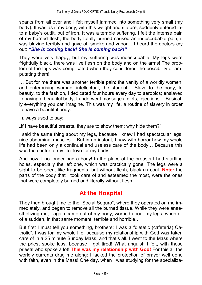sparks from all over and I felt myself jammed into something very small (my body). It was as if my body, with this weight and stature, suddenly entered into a baby's outfit, but of iron. It was a terrible suffering. I felt the intense pain of my burned flesh, the body totally burned caused an indescribable pain, it was blazing terribly and gave off smoke and vapor... I heard the doctors cry out: *She is coming back! She is coming back!*

They were very happy, but my suffering was indescribable! My legs were frightfully black, there was live flesh on the body and on the arms! The problem of the legs was complicated when they considered the possibility of amputating them!

... But for me there was another terrible pain: the vanity of a worldly women, and enterprising woman, intellectual, the student... Slave to the body, to beauty, to the fashion, I dedicated four hours every day to aerobics; enslaved to having a beautiful body. I underwent massages, diets, injections... Basically everything you can imagine. This was my life, a routine of slavery in order to have a beautiful body.

I always used to say:

If I have beautiful breasts, they are to show them; why hide them?"

I said the same thing about my legs, because I knew I had spectacular legs, nice abdominal muscles... But in an instant, I saw with horror how my whole life had been only a continual and useless care of the body... Because this was the center of my life: love for my body.

And now, I no longer had a body! In the place of the breasts I had startling holes, especially the left one, which was practically gone. The legs were a sight to be seen, like fragments, but without flesh, black as coal. **Note:** the parts of the body that I took care of and esteemed the most, were the ones that were completely burned and literally without flesh.

## **At the Hospital**

They then brought me to the "Social Seguro", where they operated on me immediately, and began to remove all the burned tissue. While they were anaesthetizing me, I again came out of my body, worried about my legs, when all of a sudden, in that same moment, terrible and horrible...

But first I must tell you something, brothers: I was a "dietetic (cafeteria) Catholic", I was for my whole life, because my relationship with God was taken care of in a 25 minute Sunday Mass, and that's all. I went to the Mass where the priest spoke less, because I got tired! What anguish I felt, with those priests who spoke a lot! **This was my relationship with God!** For this all the worldly currents drug me along: I lacked the protection of prayer well done with faith, even in the Mass! One day, when I was studying for the specializa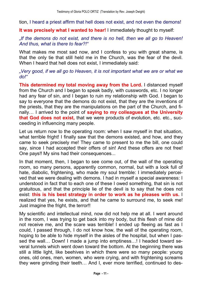tion, I heard a priest affirm that hell does not exist, and not even the demons!

**It was precisely what I wanted to hear!** I immediately thought to myself:

*If the demons do not exist, and there is no hell, then we all go to Heaven! And thus, what is there to fear?!*

What makes me most sad now, and I confess to you with great shame, is that the only tie that still held me in the Church, was the fear of the devil. When I heard that hell does not exist, I immediately said:

*Very good, if we all go to Heaven, it is not important what we are or what we do!*

**This determined my total moving away from the Lord.** I distanced myself from the Church and I began to speak badly, with cusswords, etc. I no longer had any fear of sin, and I began to ruin my relationship with God. I began to say to everyone that the demons do not exist, that they are the inventions of the priests, that they are the manipulations on the part of the Church, and finally& I arrived to the point of **saying to my colleagues at the University that God does not exist,** that we were products of evolution, etc. etc., succeeding in influencing many people.

Let us return now to the operating room: when I saw myself in that situation, what terrible fright! I finally saw that the demons existed, and how, and they came to seek precisely me! They came to present to me the bill, one could say, since I had accepted their offers of sin! And these offers are not free! One pays!! My sins had their consequences...

In that moment, then, I began to see come out, of the wall of the operating room, so many persons, apparently common, normal, but with a look full of hate, diabolic, frightening, who made my soul tremble: I immediately perceived that we were dealing with demons. I had in myself a special awareness: I understood in fact that to each one of these I owed something, that sin is not gratuitous, and that the principle lie of the devil is to say that he does not exist: **this is his best strategy in order to work as he pleases with us.** I realized that yes, he exists, and that he came to surround me, to seek me! Just imagine the fright, the terror!!

My scientific and intellectual mind, now did not help me at all. I went around in the room, I was trying to get back into my body, but this flesh of mine did not receive me, and the scare was terrible! I ended up fleeing as fast as I could, I passed through, I do not know how, the wall of the operating room, hoping to be able to hide myself in the aisles of the hospital, but when I passed the wall... Down! I made a jump into emptiness...! I headed toward several tunnels which went down toward the bottom. At the beginning there was still a little light, like beehives in which there were so many people: young ones, old ones, men, women, who were crying, and with frightening screams they were grinding their teeth... And I, ever more terrified, continued to des-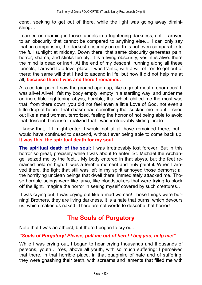cend, seeking to get out of there, while the light was going away diminishing...

I carried on roaming in those tunnels in a frightening darkness, until I arrived to an obscurity that cannot be compared to anything else... I can only say that, in comparison, the darkest obscurity on earth is not even comparable to the full sunlight at midday. Down there, that same obscurity generates pain, horror, shame, and stinks terribly. It is a living obscurity, yes, it is alive: there the mind is dead or inert. At the end of my descent, running along all these tunnels, I arrived to a level place. I was frantic, with a will of iron to get out of there: the same will that I had to ascend in life, but now it did not help me at all, **because there I was and there I remained.**

At a certain point I saw the ground open up, like a great mouth, enormous! It was alive! Alive! I felt my body empty, empty in a startling way, and under me an incredible frightening abyss, horrible; that which chilled me the most was that, from there down, you did not feel even a little Love of God, not even a little drop of hope. That chasm had something that sucked me into it. I cried out like a mad women, terrorized, feeling the horror of not being able to avoid that descent, because I realized that I was irretrievably sliding inside...

I knew that, if I might enter, I would not at all have remained there, but I would have continued to descend, without ever being able to come back up. **It was this, the spiritual death for my soul.**

**The spiritual death of the soul:** I was irretrievably lost forever. But in this horror so great, precisely while I was about to enter, St. Michael the Archangel seized me by the feet... My body entered in that abyss, but the feet remained held on high. It was a terrible moment and truly painful. When I arrived there, the light that still was left in my spirit annoyed those demons; all the horrifying unclean beings that dwell there, immediately attacked me. Those horrible beings were like larva, like bloodsuckers that were trying to block off the light. Imagine the horror in seeing myself covered by such creatures...

I was crying out, I was crying out like a mad women! Those things were burning! Brothers, they are living darkness, it is a hate that burns, which devours us, which makes us naked. There are not words to describe that horror!

## **The Souls of Purgatory**

Note that I was an atheist, but there I began to cry out:

#### *Souls of Purgatory! Please, pull me out of here! I beg you, help me!*

While I was crying out, I began to hear crying thousands and thousands of persons, youth... Yes, above all youth, with so much suffering! I perceived that there, in that horrible place, in that quagmire of hate and of suffering, they were gnashing their teeth, with screams and laments that filled me with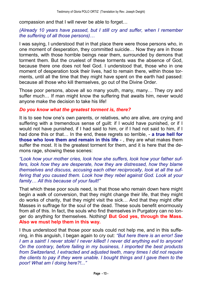compassion and that I will never be able to forget...

#### *(Already 10 years have passed, but I still cry and suffer, when I remember the suffering of all those persons*)...

I was saying, I understood that in that place there were those persons who, in one moment of desperation, they committed suicide... Now they are in those torments, with those horrible beings near them, surrounded by demons that torment them. But the cruelest of these torments was the absence of God, because there one does not feel God. I understood that, those who in one moment of desperation took their lives, had to remain there, within those torments, until all the time that they might have spent on the earth had passed: because all those who kill themselves, go out of the Divine Order.

Those poor persons, above all so many youth, many, many... They cry and suffer much... If man might know the suffering that awaits him, never would anyone make the decision to take his life!

#### *Do you know what the greatest torment is, there?*

It is to see how one's own parents, or relatives, who are alive, are crying and suffering with a tremendous sense of guilt: if I would have punished, or if I would not have punished, if I had said to him, or if I had not said to him, if I had done this or that& In the end, these regrets so terrible, - **a true hell for those who love them and remain in this life** - , they are what makes them suffer the most. It is the greatest torment for them, and it is here that the demons rage, showing these scenes:

*Look how your mother cries, look how she suffers, look how your father suffers, look how they are desperate, how they are distressed, how they blame themselves and discuss, accusing each other reciprocally, look at all the suffering that you caused them. Look how they rebel against God. Look at your family& All this because of your fault!*

That which these poor souls need, is that those who remain down here might begin a walk of conversion, that they might change their life, that they might do works of charity, that they might visit the sick... And that they might offer Masses in suffrage for the soul of the dead. These souls benefit enormously from all of this. In fact, the souls who find themselves in Purgatory can no longer do anything for themselves. Nothing! **But God yes, through the Mass. Also we must help them in this way.**

I thus understood that those poor souls could not help me, and in this suffering, in this anguish, I began again to cry out: *But here there is an error! See I am a saint! I never stole! I never killed! I never did anything evil to anyone! On the contrary, before failing in my business, I imported the best products from Switzerland, I extracted and adjusted teeth, many times I did not require the clients to pay if they were unable. I bought things and I gave them to the poor! What am I doing here?!...*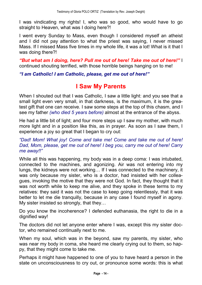I was vindicating my rights! I, who was so good, who would have to go straight to Heaven, what was I doing here?!

I went every Sunday to Mass, even though I considered myself an atheist and I did not pay attention to what the priest was saying, I never missed Mass. If I missed Mass five times in my whole life, it was a lot! What is it that I was doing there?!

*But what am I doing, here? Pull me out of here! Take me out of here!* I continued shouting terrified, with those horrible beings hanging on to me!

*I am Catholic! I am Catholic, please, get me out of here!*

### **I Saw My Parents**

When I shouted out that I was Catholic, I saw a little light: and you see that a small light even very small, in that darkness, is the maximum, it is the greatest gift that one can receive. I saw some steps at the top of this chasm, and I see my father *(who died 5 years before)* almost at the entrance of the abyss.

He had a little bit of light; and four more steps up I saw my mother, with much more light and in a position like this, as in prayer. As soon as I saw them, I experience a joy so great that I began to cry out:

#### *Dad! Mom! What joy! Come and take me! Come and take me out of here! Dad, Mom, please, get me out of here! I beg you, carry me out of here! Carry me away!!*

While all this was happening, my body was in a deep coma: I was intubated, connected to the machines, and agonizing. Air was not entering into my lungs, the kidneys were not working... If I was connected to the machinery, it was only because my sister, who is a doctor, had insisted with her colleagues, invoking the motive that they were not God. In fact, they thought that it was not worth while to keep me alive, and they spoke in these terms to my relatives: they said it was not the case to keep going relentlessly, that it was better to let me die tranquilly, because in any case I found myself in agony. My sister insisted so strongly, that they...

Do you know the incoherence? I defended euthanasia, the right to die in a dignified way!

The doctors did not let anyone enter where I was, except this my sister doctor, who remained continually next to me.

When my soul, which was in the beyond, saw my parents, my sister, who was near my body in coma, she heard me clearly crying out to them, so happy, that they might come to take me.

Perhaps it might have happened to one of you to have heard a person in the state on unconsciousness to cry out, or pronounce some words: this is what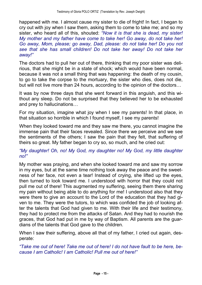happened with me. I almost cause my sister to die of fright! In fact, I began to cry out with joy when I saw them, asking them to come to take me; and so my sister, who heard all of this, shouted: *Now it is that she is dead, my sister! My mother and my father have come to take her! Go away, do not take her! Go away, Mom, please; go away, Dad, please: do not take her! Do you not see that she has small children! Do not take her away! Do not take her away!*

The doctors had to pull her out of there, thinking that my poor sister was delirious, that she might be in a state of shock; which would have been normal, because it was not a small thing that was happening: the death of my cousin, to go to take the corpse to the mortuary, the sister who dies, does not die, but will not live more than 24 hours, according to the opinion of the doctors...

It was by now three days that she went forward in this anguish, and this without any sleep. Do not be surprised that they believed her to be exhausted and prey to hallucinations...

For my situation, imagine what joy when I see my parents! In that place, in that situation so horrible in which I found myself, I see my parents!

When they looked toward me and they saw me there, you cannot imagine the immense pain that their faces revealed. Since there we perceive and we see the sentiments of the others; I saw the pain that they felt, that suffering of theirs so great. My father began to cry so, so much, and he cried out:

#### *My daughter! Oh, no! My God, my daughter no! My God, my little daughter no!*

My mother was praying, and when she looked toward me and saw my sorrow in my eyes, but at the same time nothing took away the peace and the sweetness of her face, not even a tear! Instead of crying, she lifted up the eyes, then turned to look toward me. I understood with horror that they could not pull me out of there! This augmented my suffering, seeing them there sharing my pain without being able to do anything for me! I understood also that they were there to give an account to the Lord of the education that they had given to me. They were the tutors, to which was confided the job of looking after the talents that God had given to me. With their life and their testimony, they had to protect me from the attacks of Satan. And they had to nourish the graces, that God had put in me by way of Baptism. All parents are the guardians of the talents that God gave to the children.

When I saw their suffering, above all that of my father, I cried out again, desperate:

*Take me out of here! Take me out of here! I do not have fault to be here, because I am Catholic! I am Catholic! Pull me out of here!*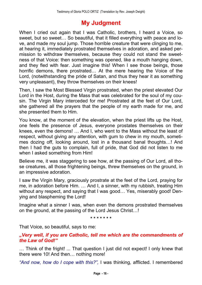## **My Judgment**

When I cried out again that I was Catholic, brothers, I heard a Voice, so sweet, but so sweet... So beautiful, that it filled everything with peace and love, and made my soul jump. Those horrible creature that were clinging to me, at hearing it, immediately prostrated themselves in adoration, and asked permission to withdraw themselves, because they could not stand the sweetness of that Voice: then something was opened, like a mouth hanging down, and they fled with fear. Just imagine this! When I see those beings, those horrific demons, there prostrated... At the mere hearing the Voice of the Lord, (notwithstanding the pride of Satan, and thus they hear it as something very unpleasant), they throw themselves on their knees!

Then, I saw the Most Blessed Virgin prostrated, when the priest elevated Our Lord in the Host, during the Mass that was celebrated for the soul of my cousin. The Virgin Mary interceded for me! Prostrated at the feet of Our Lord, she gathered all the prayers that the people of my earth made for me, and she presented them to Him.

You know, at the moment of the elevation, when the priest lifts up the Host, one feels the presence of Jesus, everyone prostates themselves on their knees, even the demons! ... And I, who went to the Mass without the least of respect, without giving any attention, with gum to chew in my mouth, sometimes dozing off, looking around, lost in a thousand banal thoughts...! And then I had the guts to complain, full of pride, that God did not listen to me when I asked something from Him!

Believe me, it was staggering to see how, at the passing of Our Lord, all those creatures, all those frightening beings, threw themselves on the ground, in an impressive adoration.

I saw the Virgin Mary, graciously prostrate at the feet of the Lord, praying for me, in adoration before Him. ... And I, a sinner, with my rubbish, treating Him without any respect, and saying that I was good... Yes, miserably good! Denying and blaspheming the Lord!

Imagine what a sinner I was, when even the demons prostrated themselves on the ground, at the passing of the Lord Jesus Christ...!

**\* \* \* \* \* \* \***

That Voice, so beautiful, says to me:

#### *Very well, if you are Catholic, tell me which are the commandments of the Law of God!*

... Think of the fright! ... That question I just did not expect! I only knew that there were 10! And then... nothing more!

*And now, how do I cope with this?,* I was thinking, afflicted. I remembered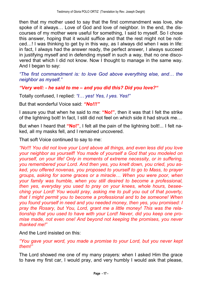then that my mother used to say that the first commandment was love, she spoke of it always... Love of God and love of neighbor. In the end, the discourses of my mother were useful for something, I said to myself. So I chose this answer, hoping that it would suffice and that the rest might not be noticed...! I was thinking to get by in this way, as I always did when I was in life: in fact, I always had the answer ready, the perfect answer, I always succeed in justifying myself and in defending myself in such a way, that no one discovered that which I did not know. Now I thought to manage in the same way. And I began to say:

*The first commandment is: to love God above everything else, and... the neighbor as myself.*

#### *Very well: - he said to me and you did this? Did you love?*

Totally confused, I replied: "*I...* yes! Yes, *I* yes. Yes!"

But that wonderful Voice said: "No!!!"

I assure you that when he said to me: "No!", then it was that I felt the strike of the lightning bolt! In fact, I still did not feel on which side it had struck me...

But when I heard that "No!". I felt all the pain of the lightning bolt!... I felt naked, all my masks fell, and I remained uncovered.

That soft Voice continued to say to me:

*No!!! You did not love your Lord above all things, and even less did you love your neighbor as yourself! You made of yourself a God that you modeled on yourself, on your life! Only in moments of extreme necessity, or in suffering, you remembered your Lord. And then yes, you knelt down, you cried, you asked, you offered novenas, you proposed to yourself to go to Mass, to prayer groups, asking for some graces or a miracle& When you were poor, when your family was humble, when you still desired to become a professional, then yes, everyday you used to pray on your knees, whole hours, beseeching your Lord! You would pray, asking me to pull you out of that poverty, that I might permit you to become a professional and to be someone! When you found yourself in need and you needed money, then yes, you promised: I pray the Rosary, but You, Lord, grant me a little money! This was the relationship that you used to have with your Lord! Never, did you keep one promise made, not even one! And beyond not keeping the promises, you never thanked me!*

And the Lord insisted on this:

*You gave your word, you made a promise to your Lord, but you never kept them!*

The Lord showed me one of my many prayers: when I asked Him the grace to have my first car, I would pray, and very humbly I would ask that please,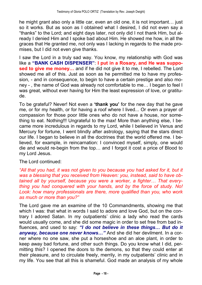he might grant also only a little car, even an old one, it is not important... just so it works. But as soon as I obtained what I desired, I did not even say a "thanks" to the Lord; and eight days later, not only did I not thank Him, but already I denied Him and I spoke bad about Him. He showed me how, in all the graces that He granted me, not only was I lacking in regards to the made promises, but I did not even give thanks.

I saw the Lord in a truly sad way. You know, my relationship with God was **like a "BANK CASH DISPENSER": I put in a Rosary, and He was supposed to give me money...** and if he did not give it to me, I rebelled. The Lord showed me all of this. Just as soon as he permitted me to have my profession, - and in consequence, to begin to have a certain prestige and also money -, the name of God was already not comfortable to me... I began to feel I was great, without ever having for Him the least expression of love, or gratitude.

To be grateful? Never! Not even a **thank you** for the new day that he gave me, or for my health, or for having a roof where I lived... Or even a prayer of compassion for those poor little ones who do not have a house, nor something to eat. Nothing!!! Ungrateful to the max! More than anything else, I became more incredulous in regards to my Lord, while I believed in Venus and Mercury for fortune, I went blindly after astrology, saying that the stars direct our life. I began to believe in all the doctrines that the world offered me. I believed, for example, in reincarnation: I convinced myself, simply, one would die and would re-begin from the top... and I forgot it cost a price of Blood to my Lord Jesus.

The Lord continued:

*All that you had, it was not given to you because you had asked for it, but it was a blessing that you received from Heaven: you, instead, said to have obtained* all by yourself, because you were a worker, a fighter... That every*thing you had conquered with your hands, and by the force of study. No! Look: how many professionals are there, more qualified than you, who work as much or more than you?*

The Lord gave me an examine of the 10 Commandments, showing me that which I was: that what in words I said to adore and love God, but on the contrary I adored Satan. In my outpatients' clinic a lady who read the cards would usually come, and she did some magic in order to set free from bad influences, and used to say: "I do not believe in these things... But do it **anyway, because one never knows...**" And she did her devilment. In a corner where no one saw, she put a horseshoe and an aloe plant, in order to keep away bad fortune, and other such things. Do you know what I did, permitting this? I opened the doors to the demons, so that they could enter at their pleasure, and to circulate freely, merrily, in my outpatients' clinic and in my life. You see that all this is shameful. God made an analysis of my whole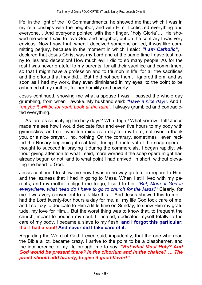life, in the light of the 10 Commandments, he showed me that which I was in my relationships with the neighbor, and with Him. I criticized everything and everyone... And everyone pointed with their finger, "holy Gloria"...! He showed me when I said to love God and neighbor, but on the contrary I was very envious. Now I saw that, when I deceived someone or lied, it was like committing perjury, because in the moment in which I said: "I am Catholic", I declared that Jesus Christ was my Lord and at the same time I gave testimony to lies and deception! How much evil I did to so many people! As for the rest I was never grateful to my parents, for all their sacrifice and commitment so that I might have a profession and to triumph in life; for all the sacrifices and the efforts that they did... But I did not see them, I ignored them, and as soon as I had my work, they even diminished in my eyes: to the point to be ashamed of my mother, for her humility and poverty.

Jesus continued, showing me what a spouse I was: I passed the whole day grumbling, from when I awoke. My husband said: *Have a nice day!*. And I: *maybe it will be for you!! Look at the rain!.* I always grumbled and contradicted everything.

... As fare as sanctifying the holy days? What fright! What sorrow I felt! Jesus made me see how I would dedicate four and even five hours to my body with gymnastics, and not even ten minutes a day for my Lord, not even a thank you, or a nice prayer... no, nothing! On the contrary, sometimes I even recited the Rosary beginning it real fast, during the interval of the soap opera. I thought to succeed in praying it during the commercials. I began rapidly, without giving attention to what I said, more worried if the soap opera might had already begun or not, and to what point I had arrived. In short, without elevating the heart to God.

Jesus continued to show me how I was in no way grateful in regard to Him, and the laziness that I had in going to Mass. When I still lived with my parents, and my mother obliged me to go, I said to her: *"But, Mom, if God is everywhere, what need do I have to go to church for the Mass?* Clearly, for me it was very convenient to talk like this... And Jesus showed this to me. I had the Lord twenty-four hours a day for me, all my life God took care of me, and I so lazy to dedicate to Him a little time on Sunday, to show Him my gratitude, my love for Him... But the worst thing was to know that, to frequent the church, meant to nourish my soul. I, instead, dedicated myself totally to the care of my body, I became a slave to my flesh, **and I forgot this particular: that I had a soul! And never did I take care of it.**

Regarding the Word of God, I even said, impudently, that the one who read the Bible a lot, became crazy. I arrive to the point to be a blasphemer, and the incoherence of my life brought me to say: "But what Most Holy? And *God would be present there? In the ciborium and in the chalice? & The priest should add brandy, to give it good flavor!*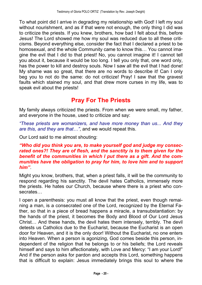To what point did I arrive in degrading my relationship with God! I left my soul without nourishment, and as if that were not enough, the only thing I did was to criticize the priests. If you knew, brothers, how bad I felt about this, before Jesus! The Lord showed me how my soul was reduced due to all these criticisms. Beyond everything else, consider the fact that I declared a priest to be homosexual, and the whole Community came to know this... You cannot imagine the evil that I did to that priest! No, you cannot imagine it! I cannot tell you about it, because it would be too long. I tell you only that, one word only, has the power to kill and destroy souls. Now I saw all the evil that I had done! My shame was so great, that there are no words to describe it! Can I only beg you to not do the same: do not criticize! Pray! I saw that the gravest faults which stained my soul, and that drew more curses in my life, was to speak evil about the priests!

## **Pray For The Priests**

My family always criticized the priests. From when we were small, my father, and everyone in the house, used to criticize and say:

*These priests are womanizers, and have more money than us... And they are this, and they are that&*, and we would repeat this.

Our Lord said to me almost shouting:

#### *Who did you think you are, to make yourself god and judge my consecrated ones?! They are of flesh, and the sanctity is to them given for the benefit of the communities in which I put there as a gift. And the communities have the obligation to pray for him, to love him and to support him*.

Might you know, brothers, that, when a priest falls, it will be the community to respond regarding his sanctity. The devil hates Catholics, immensely more the priests. He hates our Church, because where there is a priest who consecrates...

I open a parenthesis: you must all know that the priest, even though remaining a man, is a consecrated one of the Lord, recognized by the Eternal Father, so that in a piece of bread happens a miracle, a transubstantiation: by the hands of the priest, it becomes the Body and Blood of Our Lord Jesus Christ... And these hands, the devil hates them intensely, terribly. The devil detests us Catholics due to the Eucharist, because the Eucharist is an open door for Heaven, and it is the only door! Without the Eucharist, no one enters into Heaven. When a person is agonizing, God comes beside this person, independent of the religion that he belongs to or his beliefs; the Lord reveals himself and says to him affectionately, with Love and Mercy: "I am your Lord!" And if the person asks for pardon and accepts this Lord, something happens that is difficult to explain: Jesus immediately brings this soul to where the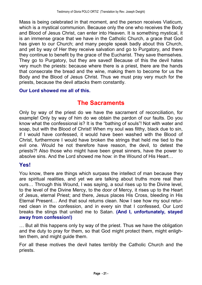Mass is being celebrated in that moment, and the person receives Viaticum, which is a mystical communion. Because only the one who receives the Body and Blood of Jesus Christ, can enter into Heaven. It is something mystical, it is an immense grace that we have in the Catholic Church, a grace that God has given to our Church; and many people speak badly about this Church, and yet by way of Her they receive salvation and go to Purgatory, and there they continue to benefit by the grace of the Eucharist. They save themselves. They go to Purgatory, but they are saved! Because of this the devil hates very much the priests: because where there is a priest, there are the hands that consecrate the bread and the wine, making them to become for us the Body and the Blood of Jesus Christ. Thus we must pray very much for the priests, because the devil attacks them constantly.

#### **Our Lord showed me all of this.**

### **The Sacraments**

Only by way of the priest do we have the sacrament of reconciliation, for example! Only by way of him do we obtain the pardon of our faults. Do you know what the confessional is? It is the "bathing of souls"! Not with water and soap, but with the Blood of Christ! When my soul was filthy, black due to sin, if I would have confessed, it would have been washed with the Blood of Christ, furthermore I would have broken the strings that held me tied to the evil one. Would he not therefore have reason, the devil, to detest the priests?! Also those who might have been great sinners, have the power to absolve sins. And the Lord showed me how: in the Wound of His Heart...

#### **Yes!**

You know, there are things which surpass the intellect of man because they are spiritual realities, and yet we are talking about truths more real than ours... Through this Wound, I was saying, a soul rises up to the Divine level, to the level of the Divine Mercy, to the door of Mercy, it rises up to the Heart of Jesus, eternal Priest; and there, Jesus places His Cross, bleeding in His Eternal Present... And that soul returns clean. Now I see how my soul returned clean in the confession, and in every sin that I confessed, Our Lord breaks the stings that united me to Satan. **(And I, unfortunately, stayed away from confession!)**

... But all this happens only by way of the priest. Thus we have the obligation and the duty to pray for them, so that God might protect them, might enlighten them, and might guide them.

For all these motives the devil hates terribly the Catholic Church and the priests.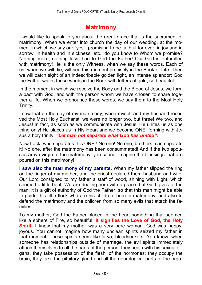## **Matrimony**

I would like to speak to you about the great grace that is the sacrament of matrimony. When we enter into church the day of our wedding, at the moment in which we say our "yes", promising to be faithful for ever, in joy and in sorrow, in health and in sickness, etc., do you know to Whom we promise? Nothing more, nothing less than to God the Father! Our God is enthralled with matrimony! He is the only Witness, when we say these words. Each of us, when we will die, will see this moment precisely in the Book of Life. Then we will catch sight of an indescribable golden light, an intense splendor: God the Father writes these words in the Book with letters of gold, so beautiful.

In the moment in which we receive the Body and the Blood of Jesus, we form a pact with God, and with the person whom we have chosen to share together a life. When we pronounce these words, we say them to the Most Holy Trinity.

I saw that on the day of my matrimony, when myself and my husband received the Most Holy Eucharist, we were no longer two, but three! We two, and Jesus! In fact, as soon as we communicate with Jesus, He unites us as one thing only! He places us in His Heart and we become ONE, forming with Jesus a holy trinity! "Let man not separate what God has united".

Now I ask: who separates this ONE? No one! No one, brothers, can separate it! No one, after the matrimony has been consummated! And if the two spouses arrive virgin to the matrimony, you cannot imagine the blessings that are poured on this matrimony!

**I saw also the matrimony of my parents.** When my father slipped the ring on the finger of my mother, and the priest declared them husband and wife, Our Lord consigned to my father a staff of wood, shining with Light, which seemed a little bent. We are dealing here with a grace that God gives to the man: it is a gift of authority of God the Father, so that this man might be able to guide this little flock who are his children, born in matrimony, and also to defend the matrimony and the children from so many evils that attack the families.

To my mother, God the Father placed in the heart something that seemed like a sphere of Fire, so beautiful: **it signifies the Love of God, the Holy Spirit.** I knew that my mother was a very pure woman. God was happy, joyous. You cannot imagine how many unclean spirits seized my father in that moment. These spirits seem like larva, bloodsuckers. You know, when someone has relationships outside of marriage, the evil spirits immediately attach themselves to all the parts of the person; they begin with his sexual organs, they take possession of the flesh, of the hormones; they occupy the brain, they take the pituitary gland and all the neurological parts of the orga-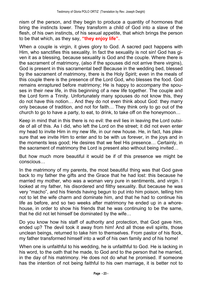nism of the person, and they begin to produce a quantity of hormones that bring the instincts lower. They transform a child of God into a slave of the flesh, of his own instincts, of his sexual appetite, that which brings the person to be that which, as they say, "they enjoy life".

When a couple is virgin, it gives glory to God. A sacred pact happens with Him, who sanctifies this sexuality. In fact the sexuality is not sin! God has given it as a blessing, because sexuality is God and the couple. Where there is the sacrament of matrimony, (also if the spouses did not arrive there virgins), God is present in this sacramental bed! Because in the wedding bed, blessed by the sacrament of matrimony, there is the Holy Spirit; even in the meals of this couple there is the presence of the Lord God, who blesses the food. God remains enraptured before matrimony; He is happy to accompany the spouses in their new life, in this beginning of a new life together. The couple and the Lord form a Trinity. Unfortunately many spouses do not know this, they do not have this notion... And they do not even think about God: they marry only because of tradition, and not for faith... They think only to go out of the church to go to have a party, to eat, to drink, to take off on the honeymoon...

Keep in mind that in this there is no evil: the evil lies in leaving the Lord outside of all of this. As I did, who left the Lord on the street; it did not even enter my head to invite Him in my new life, in our new house. He, in fact, has pleasure that we invite Him to enter and to be with us forever, in the joys and in the moments less good; He desires that we feel His presence... Certainly, in the sacrament of matrimony the Lord is present also without being invited...

But how much more beautiful it would be if of this presence we might be conscious...

In the matrimony of my parents, the most beautiful thing was that God gave back to my father the gifts and the Grace that he had lost: this because he married my mother, who was a woman very pure in sentiments, and virgin. I looked at my father, his disordered and filthy sexuality. But because he was very "macho", and his friends having begun to put into him poison, telling him not to let the wife charm and dominate him, and that he had to continue his life as before, and so two weeks after matrimony he ended up in a whorehouse, in order to show his friends that he was continuing to be the same, that he did not let himself be dominated by the wife...

Do you know how his staff of authority and protection, that God gave him, ended up? The devil took it away from him! And all those evil spirits, those unclean beings, returned to take him to themselves. From pastor of his flock, my father transformed himself into a wolf of his own family and of his home!

When one is unfaithful to his wedding, he is unfaithful to God. He is lacking in his word, to the oath that he made, to God and to the person that he married, in the day of his matrimony. He does not do what he promised. If someone has the intention of not being faithful to his own marriage, it is better not to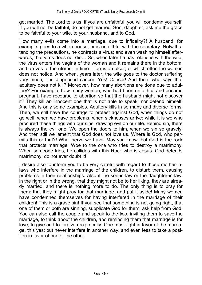get married. The Lord tells us: if you are unfaithful, you will condemn yourself! If you will not be faithful, do not get married! Son, daughter, ask me the grace to be faithful to your wife, to your husband, and to God.

How many evils come into a marriage, due to infidelity?! A husband, for example, goes to a whorehouse, or is unfaithful with the secretary. Notwithstanding the precautions, he contracts a virus; and even washing himself afterwards, that virus does not die... So, when later he has relations with the wife, the virus enters the vagina of the woman and it remains there in the bottom, and arrives to the uterus. In time it forms an ulcer, of which often the women does not notice. And when, years later, the wife goes to the doctor suffering very much, it is diagnosed cancer. Yes! Cancer! And then, who says that adultery does not kill? Moreover, how many abortions are done due to adultery? For example, how many women, who had been unfaithful and became pregnant, have recourse to abortion so that the husband might not discover it? They kill an innocent one that is not able to speak, nor defend himself! And this is only some examples. Adultery kills in so many and diverse forms! Then, we still have the courage to protest against God, when things do not go well, when we have problems, when sicknesses arrive: while it is we who procured these things with our sins, drawing evil on our life. Behind sin, there is always the evil one! We open the doors to him, when we sin so gravely! And then still we lament that God does not love us. Where is God, who permits this or that?! What nerve we have! May you know that God is the rock that protects marriage. Woe to the one who tries to destroy a matrimony! When someone tries, he collides with this Rock who is Jesus. God defends matrimony, do not ever doubt it!

I desire also to inform you to be very careful with regard to those mother-inlaws who interfere in the marriage of the children, to disturb them, causing problems in their relationships. Also if the son-in-law or the daughter-in-law, in the right or in the wrong, that they might not be to her liking, they are already married, and there is nothing more to do. The only thing is to pray for them: that they might pray for that marriage, and put it aside! Many women have condemned themselves for having interfered in the marriage of their children! This is a grave sin! If you see that something is not going right, that one of them or both are sinning, supplicate God for them, ask help from God. You can also call the couple and speak to the two, inviting them to save the marriage, to think about the children, and reminding them that marriage is for love, to give and to forgive reciprocally. One must fight in favor of the marriage, this yes: but never interfere in another way, and even less to take a position in favor of one or the other.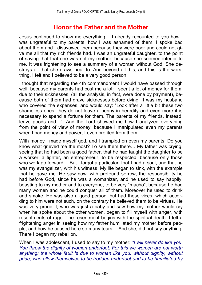## **Honor the Father and the Mother**

Jesus continued to show me everything... I already recounted to you how I was ungrateful to my parents, how I was ashamed of them; I spoke bad about them and I disavowed them because they were poor and could not give me all that my rich friends had. I was an ungrateful daughter, to the point of saying that that one was not my mother, because she seemed inferior to me. It was frightening to see a summary of a woman without God. She destroys all that she draws near to. And beyond all this, and this is the worst thing, I felt and I believed to be a very good person!

I thought that regarding the 4th commandment I would have passed through well, because my parents had cost me a lot: I spent a lot of money for them, due to their sicknesses, (all the analysis, in fact, were done by payment), because both of them had grave sicknesses before dying. It was my husband who covered the expenses, and would say: "Look after a little bit these two shameless ones, they do not leave a penny in heredity and even more it is necessary to spend a fortune for them. The parents of my friends, instead, leave goods and...". And the Lord showed me how I analyzed everything from the point of view of money, because I manipulated even my parents when I had money and power, I even profited from them.

With money I made myself god, and I trampled on even my parents. Do you know what grieved me the most? To see them there... My father was crying, seeing that he had been a good father, that he had taught the daughter to be a worker, a fighter, an entrepreneur, to be respected, because only those who work go forward... But I forgot a particular: that I had a soul, and that he was my evangelizer, with his witness. My life began to sink, with the example that he gave me. He saw now, with profound sorrow, the responsibility he had before God, since he was a womanizer, and he used to say happily, boasting to my mother and to everyone, to be very "macho", because he had many women and he could conquer all of them. Moreover he used to drink and smoke. He was also a good person, but had these vices, which according to him were not such, on the contrary he believed them to be virtues. He was very proud. I, who was just a baby and saw how my mother would cry when he spoke about the other women, began to fill myself with anger, with resentments of rage. The resentment begins with the spiritual death: I felt a frightening anger in seeing how my father humiliated my mother before people, and how he caused here so many tears... And she, did not say anything. There I began my rebellion.

When I was adolescent, I used to say to my mother: *I will never do like you. You throw the dignity of women underfoot. For this we women are not worth anything: the whole fault is due to woman like you, without dignity, without pride, who allow themselves to be trodden underfoot and to be humiliated by*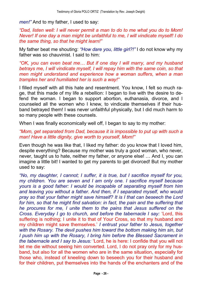*men!*" And to my father, I used to say:

*Dad, listen well: I will never permit a man to do to me what you do to Mom! Never! If one day a man might be unfaithful to me, I will vindicate myself! I do the same thing, so that he might learn!*

My father beat me shouting: *How dare you, little girl?!* I do not know why my father was so chauvinist. I said to him:

*OK, you can even beat me& But if one day I will marry, and my husband betrays me, I will vindicate myself, I will repay him with the same coin, so that men might understand and experience how a woman suffers, when a man tramples her and humiliated her is such a way!*

I filled myself with all this hate and resentment. You know, I felt so much rage, that this made of my life a rebellion: I began to live with the desire to defend the woman. I began to support abortion, euthanasia, divorce, and I counseled all the women who I knew, to vindicate themselves if their husband betrayed them! I was never unfaithful physically, but I did much harm to so many people with these counsels.

When I was finally economically well off, I began to say to my mother:

#### *Mom, get separated from Dad, because it is impossible to put up with such a man! Have a little dignity, give worth to yourself, Mom!*

Even though he was like that, I liked my father: do you know that I loved him, despite everything? Because my mother was truly a good woman, who never, never, taught us to hate, neither my father, or anyone else! ... And I, you can imagine a little bit! I wanted to get my parents to get divorced! But my mother used to say:

*No, my daughter, I cannot; I suffer, it is true, but I sacrifice myself for you, my children. You are seven and I am only one. I sacrifice myself because yours is a good father: I would be incapable of separating myself from him and leaving you without a father. And then, if I separated myself, who would pray so that your father might save himself? It is I that can beseech the Lord for him, so that he might find salvation: in fact, the pain and the suffering that he procures for me, I unite them to the pains that Jesus suffered on the Cross. Everyday I go to church, and before the tabernacle I say:* Lord, this suffering is nothing; I unite it to that of Your Cross, so that my husband and my children might save themselves. *I entrust your father to Jesus, together with the Rosary. The devil pushes him toward the bottom making him sin, but I push him up with the Rosary, I bring him before the Blessed Sacrament in the tabernacle and I say to Jesus:* Lord, he is here: I confide that you will not let me die without seeing him converted. Lord, I do not pray only for my husband, but also for all the women who are in the same situation, especially for those who, instead of kneeling down to beseech you for their husband and for their children, put themselves into the hands of the enchanters and of the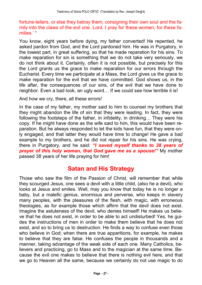fortune-tellers, or else they betray them, consigning their own soul and the family into the claws of the evil one. Lord, I pray for these women, for these families."

You know, eight years before dying, my father converted! He repented, he asked pardon from God, and the Lord pardoned him. He was in Purgatory, in the lowest part, in great suffering, so that he made reparation for his sins. To make reparation for sin is something that we do not take very seriously, we do not think about it. Certainly, often it is not possible, but precisely for this the Lord grants us the grace to make reparation for our errors through the Eucharist. Every time we participate at a Mass, the Lord gives us the grace to make reparation for the evil that we have committed. God shows us, in the life after, the consequences of our sins, of the evil that we have done to neighbor. Even a bad look, an ugly word... If we could see how terrible it is!

And how we cry, there, all these errors!

In the case of my father, my mother said to him to counsel my brothers that they might abandon the life of sin that they were leading. In fact, they were following the footsteps of the father, in infidelity, in drinking... They were his copy. If he might have done as the wife said to him, this would have been reparation. But he always responded to let the kids have fun, that they were only engaged, and that latter they would have time to change! He gave a bad example to my brothers, and he did not repair for his sins. He was crying, there in Purgatory, and he said: *I saved myself thanks to 38 years of prayer of this holy woman, that God gave me as a spouse!* My mother passed 38 years of her life praying for him!

### **Satan and His Strategy**

Those who saw the film of the Passion of Christ, will remember that while they scourged Jesus, one sees a devil with a little child, (also he a devil), who looks at Jesus and smiles. Well, may you know that today he is no longer a baby, but a malefic genius, enormous and perverse, who keeps in slavery many peoples, with the pleasures of the flesh, with magic, with erroneous theologies, as for example those which affirm that the devil does not exist. Imagine the astuteness of the devil, who denies himself! He makes us believe that he does not exist, in order to be able to act undisturbed! Yes, he guides the instructions of men in order to make them believe that he does not exist, and so to bring us to destruction. He finds a way to confuse even those who believe in God; when there are true apparitions, for example, he makes to believe that they are false. He confuses the people in thousands and a manner, taking advantage of the weak side of each one. Many Catholics, believers and practicing, go to Mass and to the magician at the same time. Because the evil one makes to believe that there is nothing evil here, and that we go to Heaven all the same, because we certainly do not use magic to do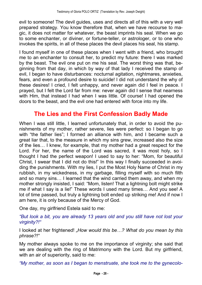evil to someone! The devil guides, uses and directs all of this with a very well prepared strategy. You know therefore that, when we have recourse to magic, it does not matter for whatever, the beast imprints his seal. When we go to some enchanter, or diviner, or fortune-teller, or astrologer, or to one who invokes the spirits, in all of these places the devil places his seal, his stamp.

I found myself in one of these places when I went with a friend, who brought me to an enchanter to consult her, to predict my future: there I was marked by the beast. The evil one put on me his seal. The worst thing was that, beginning from that day, in which by way of that lady I received the stamp of evil, I began to have disturbances: nocturnal agitation, nightmares, anxieties, fears, and even a profound desire to suicide! I did not understand the why of these desires! I cried, I felt unhappy, and never again did I feel in peace. I prayed, but I felt the Lord far from me: never again did I sense that nearness with Him, that instead I had when I was little. Of course! I had opened the doors to the beast, and the evil one had entered with force into my life.

### **The Lies and the First Confession Badly Made**

When I was still little, I learned unfortunately that, in order to avoid the punishments of my mother, rather severe, lies were perfect: so I began to go with "the father lies"; I formed an alliance with him, and I became such a great liar that, to the measure in which my sins grew, increased also the size of the lies... I knew, for example, that my mother had a great respect for the Lord. For her, the name of the Lord was sacred, it was most holy, so I thought I had the perfect weapon! I used to say to her: "Mom, for beautiful Christ, I swear that I did not do this!" In this way I finally succeeded in avoiding the punishments. With my lies, I put the Most Holy Name of Christ in my rubbish, in my wickedness, in my garbage, filling myself with so much filth and so many sins... I learned that the wind carried them away, and when my mother strongly insisted, I said: "Mom, listen! That a lightning bolt might strike me if what I say is a lie!" These words I used many times... And you see! A lot of time passed, but truly a lightning bolt ended up striking me! And if now I am here, it is only because of the Mercy of God.

One day, my girlfriend Estela said to me:

*But look a bit, you are already 13 years old and you still have not lost your virginity?!*

I looked at her frightened! *How would this be&? What do you mean by this phrase?!*

My mother always spoke to me on the importance of virginity; she said that we are dealing with the ring of Matrimony with the Lord. But my girlfriend, with an air of superiority, said to me:

*My mother, as soon as I began to menstruate, she took me to the gynecolo-*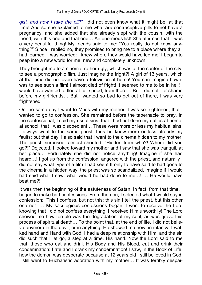*gist, and now I take the pill!* I did not even know what it might be, at that time! And so she explained to me what are contraceptive pills to not have a pregnancy, and she added that she already slept with the cousin, with the friend, with this one and that one... An enormous list! She affirmed that it was a very beautiful thing! My friends said to me: You really do not know anything?" Since I replied no, they promised to bring me to a place where they all had learned. I was worried: I knew where they would have led me! I began to peep into a new world for me; new and completely unknown.

They brought me to a cinema, rather ugly, which was at the center of the city, to see a pornographic film. Just imagine the fright?! A girl of 13 years, which at that time did not even have a television at home! You can imagine how it was to see such a film! I almost died of fright! It seemed to me to be in hell! I would have wanted to flee at full speed, from there... But I did not, for shame before my girlfriends... But I wanted so bad to get out of there, I was very frightened!

On the same day I went to Mass with my mother. I was so frightened, that I wanted to go to confession. She remained before the tabernacle to pray. In the confessional, I said my usual sins: that I had not done my duties at home, at school, that I was disobedient... These were more or less my habitual sins. I always went to the same priest, thus he knew more or less already my faults; but that day, I also said that I went to the cinema hidden to my mother. The priest, surprised, almost shouted: "Hidden from who?! Where did you go?!" Dejected, I looked toward my mother and I saw that she was tranquil, at her place... Fortunately she did not notice anything! Imagine if she had heard...! I got up from the confession, angered with the priest, and naturally I did not say what type of a film I had seen! If only to have said to had gone to the cinema in a hidden way, the priest was so scandalized, imagine if I would had said what I saw, what would he had done to me...! ... He would have beat me?!

It was then the beginning of the astuteness of Satan! In fact, from that time, I began to make bad confessions. From then on, I selected what I would say in confession: This I confess, but not this; this sin I tell the priest, but this other one no!" ... My sacrilegious confessions began! I went to receive the Lord knowing that I did not confess everything! I received Him unworthily! The Lord showed me how terrible was the degradation of my soul, as was grave this process of spiritual death... To the point that, at the end of life, I did not believe anymore in the devil, or in anything. He showed me how, in infancy, I walked hand and Hand with God, I had a deep relationship with Him, and the sin did such that I let go, a step at a time, His hand. Now the Lord said to me that, those who eat and drink His Body and His Blood, eat and drink their condemnation: I ate and I drank my condemnation! I saw, in the Book of Life, how the demon was desperate because at 12 years old I still believed in God, I still went to Eucharistic adoration with my mother... It was terribly despai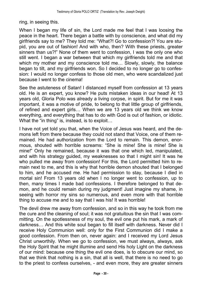ring, in seeing this.

When I began my life of sin, the Lord made me feel that I was loosing the peace in the heart. There began a battle with by conscience, and what did my girlfriends say to me? They told me: What?! Go to confession?! You are stupid, you are out of fashion! And with who, then? With these priests, greater sinners than us?!" None of them went to confession. I was the only one who still went. I began a war between that which my girlfriends told me and that which my mother and my conscience told me... Slowly, slowly, the balance began to tilt, and my girlfriends won. So I decided to no longer go to confession: I would no longer confess to those old men, who were scandalized just because I went to the cinema!

See the astuteness of Satan! I distanced myself from confession at 13 years old. He is an expert, you know? He puts mistaken ideas in our head! At 13 years old, Gloria Polo was already a living corpse, in spirit. But for me it was important, it was a motive of pride, to belong to that little group of girlfriends, of refined and expert girls... When we are 13 years old we think we know everything, and everything that has to do with God is out of fashion, or idiotic. What the "in thing" is, instead, is to exploit...

I have not yet told you that, when the Voice of Jesus was heard, and the demons left from there because they could not stand that Voice, one of them remained. He had authorization from the Lord to remain. This demon, enormous, shouted with horrible screams: "She is mine! She is mine! She is mine!" Only he remained, because it was that one which led, manipulated, and with his strategy guided, my weaknesses so that I might sin! It was he who pulled me away from confession! For this, the Lord permitted him to remain next to me, and this is why that horrible demon shouted that I belonged to him, and he accused me. He had permission to stay, because I died in mortal sin! From 13 years old when I no longer went to confession, up to then, many times I made bad confessions. I therefore belonged to that demon, and he could remain during my judgment! Just imagine my shame, in seeing with horror my sins so numerous, and even more with that horrible thing to accuse me and to say that I was his! It was horrible!

The devil drew me away from confession, and so in this way he took from me the cure and the cleaning of soul; it was not gratuitous the sin that I was committing. On the spotlessness of my soul, the evil one put his mark, a mark of darkness... And this white soul began to fill itself with darkness. Never did I receive Holy Communion well: only for the First Communion did I make a good confession. From then on, never again: and I received my Lord Jesus Christ unworthily. When we go to confession, we must always, always, ask the Holy Spirit that he might illumine and send His holy Light on the darkness of our mind: because one thing the evil one does, is to obscure our mind, so that we think that nothing is a sin, that all is well, that there is no need to go to the priest to confess ourselves, - and even more, they are greater sinners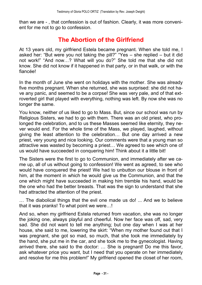than we are - , that confession is out of fashion. Clearly, it was more convenient for me not to go to confession.

## **The Abortion of the Girlfriend**

At 13 years old, my girlfriend Estela became pregnant. When she told me, I asked her: "But were you not taking the pill?" "Yes  $-$  she replied  $-$  but it did not work!" "And now...? What will you do?" She told me that she did not know. She did not know if it happened in that party, or in that walk, or with the fiancée!

In the month of June she went on holidays with the mother. She was already five months pregnant. When she returned, she was surprised: she did not have any panic, and seemed to be a corpse! She was very pale, and of that extroverted girl that played with everything, nothing was left. By now she was no longer the same.

You know, neither of us liked to go to Mass. But, since our school was run by Religious Sisters, we had to go with them. There was an old priest, who prolonged the celebration, and to us these Masses seemed like eternity, they never would end. For the whole time of the Mass, we played, laughed, without giving the least attention to the celebration... But one day arrived a new priest, very young and nice looking. Our comments were that a young man so attractive was wasted by becoming a priest... We agreed to see which one of us would have succeeded in conquering him! Think about it a little bit!

The Sisters were the first to go to Communion, and immediately after we came up, all of us without going to confession! We went as agreed, to see who would have conquered the priest! We had to unbutton our blouse in front of him, at the moment in which he would give us the Communion, and that the one which might have succeeded in making him tremble his hand, would be the one who had the better breasts. That was the sign to understand that she had attracted the attention of the priest.

... The diabolical things that the evil one made us do! ... And we to believe that it was pranks! To what point we were...!

And so, when my girlfriend Estela returned from vacation, she was no longer the joking one, always playful and cheerful. Now her face was off, sad, very sad. She did not want to tell me anything; but one day when I was at her house, she said to me, lowering the skirt: When my mother found out that I was pregnant, she got so mad, so much, that she took me immediately by the hand, she put me in the car, and she took me to the gynecologist. Having arrived there, she said to the doctor: ... She is pregnant! Do me this favor, ask whatever price you want, but I need that you operate on her immediately and resolve for me this problem!" My girlfriend opened the closet of her room,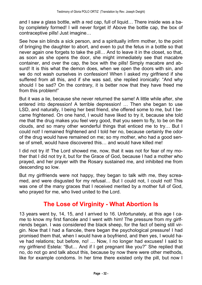and I saw a glass bottle, with a red cap, full of liquid... There inside was a baby completely formed! I will never forget it! Above the bottle cap, the box of contraceptive pills! Just imagine...

See how sin blinds a sick person, and a spiritually infirm mother, to the point of bringing the daughter to abort, and even to put the fetus in a bottle so that never again one forgets to take the pill... And to leave it in the closet, so that, as soon as she opens the door, she might immediately see that macabre container, and over the cap, the box with the pills! Simply macabre and absurd! It is this what the demon does, when we open the doors with sin, and we do not wash ourselves in confession! When I asked my girlfriend if she suffered from all this, and if she was sad, she replied ironically: "And why should I be sad? On the contrary, it is better now that they have freed me from this problem!

But it was a lie, because she never returned the same! A little while after, she entered into depression! A terrible depression! ... Then she began to use LSD, and naturally, I being her best friend, she offered some to me, but I became frightened. On one hand, I would have liked to try it, because she told me that the drug makes you feel very good, that you seem to fly, to be on the clouds, and so many other wonderful things that enticed me to try... But I could not! I remained frightened and I told her no, because certainly the odor of the drug would have remained on me; so my mother, who had a good sense of smell, would have discovered this... and would have killed me!

I did not try it! The Lord showed me, now, that it was not for fear of my mother that I did not try it, but for the Grace of God, because I had a mother who prayed, and her prayer with the Rosary sustained me, and inhibited me from descending so low.

But my girlfriends were not happy, they began to talk with me, they screamed, and were disgusted for my refusal... But I could not, I could not! This was one of the many graces that I received merited by a mother full of God, who prayed for me, who lived united to the Lord.

## **The Lose of Virginity - What Abortion Is**

13 years went by, 14, 15, and I arrived to 16. Unfortunately, at this age I came to know my first fiancée and I went with him! The pressure from my girlfriends began. I was considered the black sheep, for the fact of being still virgin. Now that I had a fiancée, there began the psychological pressure! I had promised them that, when I would have a boyfriend, and then yes, I would have had relations; but before, no! ... Now, I no longer had excuses! I said to my girlfriend Estela: "But... And if I get pregnant like you?" She replied that no, do not go and talk about this, because by now there were other methods, like for example condoms. In her time there existed only the pill, but now I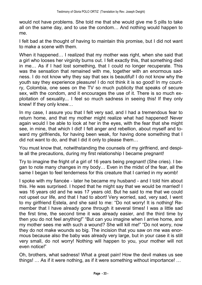would not have problems. She told me that she would give me 5 pills to take all on the same day, and to use the condom... And nothing would happen to me.

I felt bad at the thought of having to maintain this promise, but I did not want to make a scene with them.

When it happened... I realized that my mother was right, when she said that a girl who looses her virginity burns out. I felt exactly this, that something died in me... As if I had lost something, that I could no longer recuperate. This was the sensation that remained with me, together with an enormous sadness. I do not know why they say that sex is beautiful! I do not know why the youth say they experience pleasure! I do not think it is so good! In my country, Colombia, one sees on the TV so much publicity that speaks of secure sex, with the condom, and it encourages the use of it. There is so much exploitation of sexuality... I feel so much sadness in seeing this! If they only knew! If they only knew...

In my case, I assure you that I felt very sad, and I had a tremendous fear to return home, and that my mother might realize what had happened! Never again would I be able to look at her in the eyes, with the fear that she might see, in mine, that which I did! I felt anger and rebellion, about myself and toward my girlfriends, for having been weak, for having done something that I did not want to do, and that I did it only to please them...

You must know that, notwithstanding the counsels of my girlfriend, and despite all the precautions, during my first relationship I became pregnant!

Try to imagine the fright of a girl of 16 years being pregnant! (She cries). I began to note many changes in my body... Even in the midst of the fear, all the same I began to feel tenderness for this creature that I carried in my womb!

I spoke with my fiancée - later he became my husband - and I told him about this. He was surprised. I hoped that he might say that we would be married! I was 16 years old and he was 17 years old. But he said to me that we could not upset our life, and that I had to abort! Very worried, sad, very sad, I went to my girlfriend Estela, and she said to me: "Do not worry! It is nothing! Remember that I have already gone through it several times! I was a little sad the first time, the second time it was already easier, and the third time by then you do not feel anything!" "But can you imagine when I arrive home, and my mother sees me with such a wound? She will kill me!" "Do not worry, now they do not make wounds so big. The incision that you saw on me was enormous because also the baby was already very large, but in your case it is still very small, do not worry! Nothing will happen to you, your mother will not even notice!

Oh, brothers, what sadness! What a great pain! How the devil makes us see things! ... As if it were nothing, as if it were something without importance! ...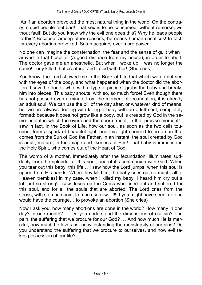As if an abortion provoked the most natural thing in the world! On the contrary, stupid people feel bad! That sex is to be consumed, without remorse, without fault! But do you know why the evil one does this? Why he leads people to this? Because, among other reasons, he needs human sacrifices! In fact, for every abortion provoked, Satan acquires ever more power.

No one can imagine the consternation, the fear and the sense of guilt when I arrived in that hospital, (a good distance from my house), in order to abort! The doctor gave me an anesthetic. But when I woke up, I was no longer the same! They killed that creature, and I died with her! (She cries).

You know, the Lord showed me in the Book of Life that which we do not see with the eyes of the body, and what happened when the doctor did the abortion. I saw the doctor who, with a type of pincers, grabs the baby and breaks him into pieces. This baby shouts, with so, so much force! Even though there has not passed even a minute from the moment of fecundation, it is already an adult soul. We can use the pill of the day after, or whatever kind of means, but we are always dealing with killing a baby with an adult soul, completely formed: because it does not grow like a body, but is created by God in the same instant in which the ovum and the sperm meet, in that precise moment! I saw in fact, in the Book of Life, how our soul, as soon as the two cells touched, form a spark of beautiful light, and this light seemed to be a sun that comes from the Sun of God the Father. In an instant, the soul created by God is adult, mature, in the image and likeness of Him! That baby is immense in the Holy Spirit, who comes out of the Heart of God!

The womb of a mother, immediately after the fecundation, illuminates suddenly from the splendor of this soul, and of it's communion with God. When you tear out this baby, this life... I saw how the Lord jumps, when this soul is ripped from His hands. When they kill him, the baby cries out so much; all of Heaven trembles! In my case, when I killed my baby, I heard him cry out a lot, but so strong! I saw Jesus on the Cross who cried out and suffered for this soul, and for all the souls that are aborted! The Lord cries from the Cross, with so much pain, to much sorrow...!!! If you might have seen, no one would have the courage... to provoke an abortion (She cries)

Now I ask you, how many abortions are done in the world? How many in one day? In one month? ... Do you understand the dimensions of our sin? The pain, the suffering that we procure for our God? ... And how much He is merciful, how much he loves us, notwithstanding the monstrosity of our sins? Do you understand the suffering that we procure to ourselves, and how evil takes possession of our life?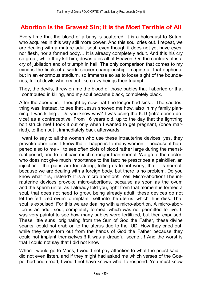## **Abortion Is the Gravest Sin; It Is the Most Terrible of All**

Every time that the blood of a baby is scattered, it is a holocaust to Satan, who acquires in this way still more power. And this soul cries out. I repeat, we are dealing with a mature adult soul, even though it does not yet have eyes, nor flesh, nor a formed body... It is already completely adult. And this his cry so great, while they kill him, devastates all of Heaven. On the contrary, it is a cry of jubilation and of triumph in hell. The only comparison that comes to my mind is the finals of a world soccer championship: imagine all that euphoria, but in an enormous stadium, so immense so as to loose sight of the boundaries, full of devils who cry out like crazy beings their triumph.

They, the devils, threw on me the blood of those babies that I aborted or that I contributed in killing, and my soul became black, completely black.

After the abortions, I thought by now that I no longer had sins... The saddest thing was, instead, to see that Jesus showed me how, also in my family planning, I was killing... Do you know why? I was using the IUD (intrauterine device) as a contraceptive. From 16 years old, up to the day that the lightning bolt struck me! I took it out only when I wanted to get pregnant, (once married), to then put it immediately back afterwards.

I want to say to all the women who use these intrauterine devices: yes, they provoke abortions! I know that it happens to many women, - because it happened also to me - , to see often clots of blood rather large during the menstrual period, and to feel pain much stronger than normal. We go to the doctor, who does not give much importance to the fact: he prescribes a painkiller, an injection if the pains are too strong, telling us to not worry, that it is normal, because we are dealing with a foreign body, but there is no problem. Do you know what it is, instead? It is a micro abortion!!! Yes! Micro-abortion! The intrauterine devices provoke micro-abortions, because as soon as the ovum and the sperm unite, as I already told you, right from that moment is formed a soul, that does not need to grow, being already adult: these devices do not let the fertilized ovum to implant itself into the uterus, which thus dies. That soul is expulsed! For this we are dealing with a micro-abortion. A micro-abortion is an adult soul, completely formed, which was not permitted to live. It was very painful to see how many babies were fertilized, but then expulsed. These little suns, originating from the Sun of God the Father, these divine sparks, could not grab on to the uterus due to the IUD. How they cried out, while they were torn out from the hands of God the Father because they could not implant themselves!!! It was a dreadful scene...! And the worst is that I could not say that I did not know!

When I would go to Mass, I would not pay attention to what the priest said. I did not even listen, and if they might had asked me which verses of the Gospel had been read, I would not have known what to respond. You must know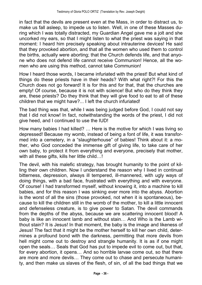in fact that the devils are present even at the Mass, in order to distract us, to make us fall asleep, to impede us to listen. Well, in one of these Masses during which I was totally distracted, my Guardian Angel gave me a jolt and she uncorked my ears, so that I might listen to what the priest was saying in that moment: I heard him precisely speaking about intrauterine devices! He said that they provoked abortion, and that all the women who used them to control the births, actually were aborting; that the Church defends life, and that anyone who does not defend life cannot receive Communion! Hence, all the women who are using this method, cannot take Communion!

How I heard those words, I became infuriated with the priest! But what kind of things do these priests have in their heads? With what right?! For this the Church does not go forward! It is for this and for that, that the churches are empty! Of course, because it is not with science! But who do they think they are, these priests? Do they think that they will give food to eat to all of these children that we might have?... I left the church infuriated!

The bad thing was that, while I was being judged before God, I could not say that I did not know! In fact, notwithstanding the words of the priest, I did not give heed, and I continued to use the IUD!

How many babies I had killed? ... Here is the motive for which I was living so depressed! Because my womb, instead of being a font of life, it was transformed into a cemetery, in a "slaughterhouse" of babies! Think about it: a mother, who God conceded the immense gift of giving life, to take care of her own baby, to protect it from everything and everyone, precisely that mother, with all these gifts, kills her little child...!

The devil, with his malefic strategy, has brought humanity to the point of killing their own children. Now I understand the reason why I lived in continual bitterness, depression, always ill tempered, ill-mannered, with ugly ways of doing things, with a bad face, frustrated with everything and with everyone. Of course! I had transformed myself, without knowing it, into a machine to kill babies, and for this reason I was sinking ever more into the abyss. Abortion is the worst of all the sins (those provoked, not when it is spontaneous), because to kill the children still in the womb of the mother, to kill a little innocent and defenseless creature, is to give power to Satan. The devil commands from the depths of the abyss, because we are scattering innocent blood! A baby is like an innocent lamb and without stain... And Who is the Lamb without stain? It is Jesus! In that moment, the baby is the image and likeness of Jesus! The fact that it might be the mother herself to kill her own child, determines a profound bond with the darkness, permitting that more devils from hell might come out to destroy and strangle humanity. It is as if one might open the seals... Seals that God has put to impede evil to come out, but that, for every abortion, it opens... And so horrible larvae come out, so that there are more and more devils... They come out to chase and persecute humanity, and then make us slaves of the flesh, of sin, of all the bad things that we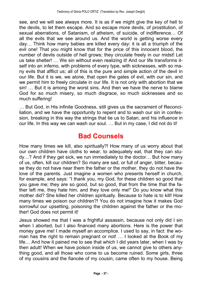see, and we will see always more. It is as if we might give the key of hell to the devils, to let them escape. And so escape more devils, of prostitution, of sexual aberrations, of Satanism, of atheism, of suicide, of indifference... Of all the evils that we see around us. And the world is getting worse every day... Think how many babies are killed every day: it is all a triumph of the evil one! That you might know that for the price of this innocent blood, the number of devils outside of hell grows; they circulate freely in our midst! Let us take shelter! ... We sin without even realizing it! And our life transforms itself into an inferno, with problems of every type, with sicknesses, with so many evils that afflict us; all of this is the pure and simple action of the devil in our life. But it is we, we alone, that open the gates of evil, with our sin, and we permit him to freely circulate in our life. It is not only with abortion that we sin! ... But it is among the worst sins. And then we have the nerve to blame God for so much misery, so much disgrace, so much sicknesses and so much suffering!

... But God, in His infinite Goodness, still gives us the sacrament of Reconciliation, and we have the opportunity to repent and to wash our sin in confession, breaking in this way the strings that tie us to Satan, and his influence in our life. In this way we can wash our soul. ... But in my case, I did not do it!

## **Bad Counsels**

How many times we kill, also spiritually?! How many of us worry about that our own children have cloths to wear, to adequately eat, that they can stu $dy...$ ? And if they get sick, we run immediately to the doctor... But how many of us, often, kill our children? So many are sad, or full of anger, bitter, because they do not have near them the father or the mother, they do not have the love of the parents. Just imagine a women who presents herself in church, for example, and says: "I thank you, my God, for these children so good that you gave me; they are so good, but so good, that from the time that the father left me, they hate him, and they love only me!" Do you know what this mother did? She killed her children spiritually. Because to hate is to kill! How many times we poison our children?! You do not imagine how it makes God sorrowful our upsetting, poisoning the children against the father or the mother! God does not permit it!

Jesus showed me that I was a frightful assassin, because not only did I sin when I aborted, but I also financed many abortions. Here is the power that money gave me! I made myself an accomplice. I used to say, in fact: the woman has the right to remain pregnant or not! ... I looked at the Book of my life... And how it pained me to see that which I did years later, when I was by then adult! When we have poison inside of us, we cannot give to others anything good, and all those who come to us become ruined. Some girls, three of my cousins and the fiancée of my cousin, came often to my house. Being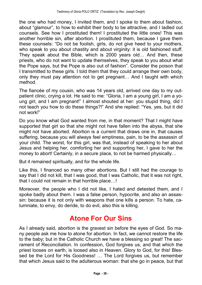the one who had money, I invited them, and I spoke to them about fashion, about "glamour", to how to exhibit their body to be attractive, and I ladled out counsels. See how I prostituted them! I prostituted the little ones! This was another horrible sin, after abortion. I prostituted them, because I gave them these counsels: "Do not be foolish, girls, do not give heed to your mothers, who speak to you about chastity and about virginity: it is old fashioned stuff. They speak about the Bible, which is 2000 years old... And then, these priests, who do not want to update themselves, they speak to you about what the Pope says, but the Pope is also out of fashion". Consider the poison that I transmitted to these girls. I told them that they could arrange their own body, only they must pay attention not to get pregnant... And I taught with which method.

The fiancée of my cousin, who was 14 years old, arrived one day to my outpatient clinic, crying a lot. He said to me: Gloria, I am a young girl, I am a young girl, and I am pregnant!" I almost shouted at her: you stupid thing, did I not teach you how to do these things?!" And she replied: "Yes, yes, but it did not work!

Do you know what God wanted from me, in that moment? That I might have supported that girl so that she might not have fallen into the abyss, that she might not have aborted. Abortion is a current that draws one in, that causes suffering, because you will always feel emptiness, pain, to be the assassin of your child. The worst, for this girl, was that, instead of speaking to her about Jesus and helping her, comforting her and supporting her, I gave to her the money to abort! Certainly, in a secure place, to not be harmed physically...

But it remained spiritually, and for the whole life.

Like this, I financed so many other abortions. But I still had the courage to say that I did not kill, that I was good, that I was Catholic, that it was not right, that I could not remain in that horrible place...!

Moreover, the people who I did not like, I hated and detested them, and I spoke badly about them. I was a false person, hypocrite, and also an assassin: because it is not only with weapons that one kills a person. To hate, calumniate, to envy, do deride, to do evil, also this is killing.

## **Atone For Our Sins**

As I already said, abortion is the gravest sin before the eyes of God. So many people ask me how to atone for abortion. In fact, we cannot restore the life to the baby; but in the Catholic Church we have a blessing so great! The sacrament of Reconciliation. In confession, God forgives us, and that which the priest looses on earth, is loosed also in Heaven. Glory to God, for this! Blessed be the Lord for His Goodness! ... The Lord forgives us, but remember that which Jesus said to the adulterous woman: that she go in peace, but that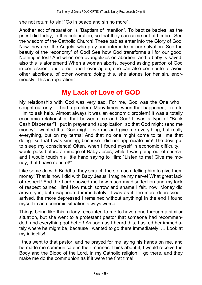she not return to sin! "Go in peace and sin no more".

Another act of reparation is "Baptism of intention". To baptize babies, as the priest did today, in this celebration, so that they can come out of Limbo . See the wisdom of the Catholic Church! These babies enter into the Glory of God! Now they are little Angels, who pray and intercede or our salvation. See the beauty of the "economy" of God! See how God transforms all for our good! Nothing is lost! And when one evangelizes on abortion, and a baby is saved, also this is atonement! When a woman aborts, beyond asking pardon of God in confession, and to not abort ever again, she can also contribute to avoid other abortions, of other women: doing this, she atones for her sin, enormously! This is reparation!

## **My Lack of Love of GOD**

My relationship with God was very sad. For me, God was the One who I sought out only if I had a problem. Many times, when that happened, I ran to Him to ask help. Almost always it was an economic problem! It was a totally economic relationship, that between me and God! It was a type of "Bank" Cash Dispenser"! I put in prayer and supplication, so that God might send me money! I wanted that God might love me and give me everything, but really everything, but on my terms! And that no one might come to tell me that doing like that I was sinning, because I did not appreciate him! The devil put to sleep my conscience! Often, when I found myself in economic difficulty, I would pass before an image of Baby Jesus, while I was going out of church, and I would touch his little hand saying to Him: "Listen to me! Give me money, that I have need of!

Like some do with Buddha: they scratch the stomach, telling him to give them money! That is how I did with Baby Jesus! Imagine my nerve! What great lack of respect! And the Lord showed me how much my disaffection and my lack of respect pained Him! How much sorrow and shame I felt, now! Money did arrive, yes, but disappeared immediately! It was as if, the more depressed I arrived, the more depressed I remained without anything! In the end I found myself in an economic situation always worse.

Things being like this, a lady recounted to me to have gone through a similar situation, but she went to a protestant pastor that someone had recommended, and everything got better! As soon as I heard this, I asked her immediately where he might be, because I wanted to go there immediately! ... Look at my infidelity!

I thus went to that pastor, and he prayed for me laying his hands on me, and he made me communicate in their manner. Think about it, I would receive the Body and the Blood of the Lord, in my Catholic religion. I go there, and they make me do the communion as if it were the first time!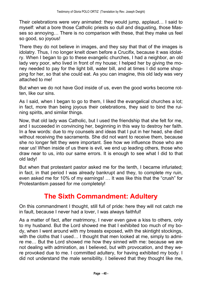Their celebrations were very animated: they would jump, applaud... I said to myself: what a bore those Catholic priests so dull and disgusting, those Masses so annoying... There is no comparison with these, that they make us feel so good, so joyous!

There they do not believe in images, and they say that that of the images is idolatry. Thus, I no longer knelt down before a Crucifix, because it was idolatry. When I began to go to these evangelic churches, I had a neighbor, an old lady very poor, who lived in front of my house; I helped her by giving the money needed to pay for the light bill, water bill, and at times I did some shopping for her, so that she could eat. As you can imagine, this old lady was very attached to me!

But when we do not have God inside of us, even the good works become rotten, like our sins.

As I said, when I began to go to them, I liked the evangelical churches a lot; in fact, more than being joyous their celebrations, they said to bind the ruining spirits, and similar things.

Now, that old lady was Catholic, but I used the friendship that she felt for me, and I succeeded in convincing her, beginning in this way to destroy her faith. In a few words: due to my counsels and ideas that I put in her head, she died without receiving the sacraments. She did not want to receive them, because she no longer felt they were important. See how we influence those who are near us! When inside of us there is evil, we end up leading others, those who draw near to us, into our same errors. It is enough to see what I did to that old lady!

But when that protestant pastor asked me for the tenth, I became infuriated; in fact, in that period I was already bankrupt and they, to complete my ruin, even asked me for 10% of my earnings! ... It was like this that the "crush" for Protestantism passed for me completely!

## **The Sixth Commandment: Adultery**

On this commandment I thought, still full of pride: here they will not catch me in fault, because I never had a lover, I was always faithful!

As a matter of fact, after matrimony, I never even gave a kiss to others, only to my husband. But the Lord showed me that I exhibited too much of my body, when I went around with my breasts exposed, with the skintight stockings, with the cloths that I used... I thought that men looked at me, simply to admire me... But the Lord showed me how they sinned with me: because we are not dealing with admiration, as I believed, but with provocation, and they were provoked due to me. I committed adultery, for having exhibited my body. I did not understand the male sensibility. I believed that they thought like me,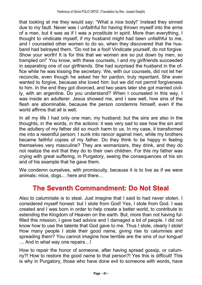that looking at me they would say: "What a nice body!" Instead they sinned due to my fault. Never was I unfaithful for having thrown myself into the arms of a man, but it was as if I was a prostitute in spirit. More than everything, I thought to vindicate myself, if my husband might had been unfaithful to me, and I counseled other women to do so, when they discovered that the husband had betrayed them. "Do not be a fool! Vindicate yourself, do not forgive. Show your worth! It is for this that we women are so put down by men, so trampled on!" You know, with these counsels, I and my girlfriends succeeded in separating one of our girlfriends. She had surprised the husband in the office while he was kissing the secretary. We, with our counsels, did not let her reconcile, even though he asked her for pardon, truly repentant. She even wanted to forgive, because she loved him: but we did not permit forgiveness to him. In the end they got divorced, and two years later she got married civilly, with an argentine. Do you understand? When I counseled in this way, I was inside an adulterer. Jesus showed me, and I saw well, how sins of the flesh are abominable, because the person condemns himself, even if the world affirms that all is well.

In all my life I had only one man, my husband; but the sins are also in the thoughts, in the words, in the actions: it was very sad to see how the sin and the adultery of my father did so much harm to us. In my case, it transformed me into a resentful person; I sunk into rancor against men, while my brothers became faithful copies of my father. Do they think to be happy in feeling themselves very masculine? They are womanizers, they drink, and they do not realize the evil that they do to their own children. For this my father was crying with great suffering, in Purgatory, seeing the consequences of his sin and of his example that he gave them.

We condemn ourselves, with promiscuity, because it is to live as if we were animals: mice, dogs $\dots$  here and there $\dots$ 

## **The Seventh Commandment: Do Not Steal**

Also to calumniate is to steal. Just imagine that I said to had never stolen. I considered myself honest: but I stole from God! Yes, I stole from God. I was created and I was born in order to help create a better world, to contribute to extending the Kingdom of Heaven on the earth. But, more than not having fulfilled this mission, I gave bad advice and I damaged a lot of people. I did not know how to use the talents that God gave to me. Thus I stole, clearly I stole! How many people I stole their good name, giving rise to calumnies and spreading them? You cannot imagine how terrible are the sins of our tongue! ... And in what way one repairs...!

How to repair the honor of someone, after having spread gossip, or calumny?! How to restore the good name to that person?! Yes this is difficult! This is why in Purgatory, those who have done evil to someone with words, have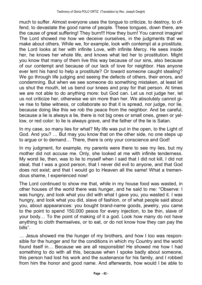much to suffer. Almost everyone uses the tongue to criticize, to destroy, to offend, to devastate the good name of people. These tongues, down there, are the cause of great suffering! They burn!!! How they burn! You cannot imagine! The Lord showed me how we deceive ourselves, in the judgments that we make about others. While we, for example, look with contempt at a prostitute, the Lord looks at her with infinite Love, with infinite Mercy. He sees inside her, he knows her whole life, and knows what led her to prostitution. Might you know that many of them live this way because of our sins, also because of our contempt and because of our lack of love for neighbor. Has anyone ever lent his hand to help a prostitute? Or toward someone caught stealing? We go through life judging and seeing the defects of others, their errors, and condemning. But when we see someone do something mistaken, at least let us shut the mouth, let us bend our knees and pray for that person. At times we are not able to do anything more: but God can. Let us not judge her, let us not criticize her, otherwise we sin more than her. We absolutely cannot give rise to false witness, or collaborate so that it is spread, nor judge, nor lie, because doing like this we rob the peace from the neighbor. And be careful, because a lie is always a lie, there is not big ones or small ones, green or yellow, or red color: to lie is always grave, and the father of the lie is Satan.

In my case, so many lies for what? My life was put in the open, to the Light of God. And you? ... But may you know that on the other side, no one steps up to argue or to demand... There, there is only your conscience and God!

In my judgment, for example, my parents were there to see my lies, but my mother did not accuse me. Only, she looked at me with infinite tenderness. My worst lie, then, was to lie to myself when I said that I did not kill, I did not steal, that I was a good person, that I never did evil to anyone, and that God does not exist; and that I would go to Heaven all the same! What a tremendous shame, I experienced now!

The Lord continued to show me that, while in my house food was wasted, in other houses of the world there was hunger, and he said to me: "Observe: I was hungry, and look what you did with what I gave you, you wasted it. I was hungry, and look what you did, slave of fashion, or of what people said about you, about appearances: you bought brand-name goods, jewelry, you came to the point to spend 150,000 pesos for every injection, to be thin, slave of your body... To the point of making of it a god. Look how many do not have anything to cloth themselves, or to eat, or do not know how they can pay the bills".

... Jesus showed me the hunger of my brothers, and how I too was responsible for the hunger and for the conditions in which my Country and the world found itself in... Because we are all responsible! He showed me how I had something to do with all this, because when I spoke badly about someone, this person had lost his work and the sustenance for his family, and I robbed from him the honor and good name. And afterwards, how would I be able to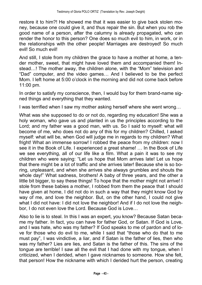restore it to him?! He showed me that it was easier to give back stolen money, because one could give it, and thus repair the sin. But when you rob the good name of a person, after the calumny is already propagated, who can render the honor to this person? One does so much evil to him, in work, or in the relationships with the other people! Marriages are destroyed! So much evil! So much evil!

And still, I stole from my children the grace to have a mother at home, a tender mother, sweet, that might have loved them and accompanied them! Instead...! The mother away, the children alone, with the "Mom" television and "Dad" computer, and the video games... And I believed to be the perfect Mom. I left home at 5:00 o'clock in the morning and did not come back before 11:00 pm.

In order to satisfy my conscience, then, I would buy for them brand-name signed things and everything that they wanted.

I was terrified when I saw my mother asking herself where she went wrong...

What was she supposed to do or not do, regarding my education! She was a holy woman, who gave us and planted in us the principles according to the Lord; and my father was a good man, with us. So I said to myself: what will become of me, who does not do any of this for my children? Chilled, I asked myself: what will be, when God will judge me in regards to my children? What fright! What an immense sorrow! I robbed the peace from my children: now I see it in the Book of Life. I experienced a great shame! ... In the Book of Life we see everything, all of our life like a film. What a pain it was to see my children who were saying: "Let us hope that Mom arrives late! Let us hope that there might be a lot of traffic and she arrives later! Because she is so boring, unpleasant, and when she arrives she always grumbles and shouts the whole day!" What sadness, brothers! A baby of three years, and the other a little bit bigger, to say these things! To hope that the mother might not arrive! I stole from these babies a mother, I robbed from them the peace that I should have given at home, I did not do in such a way that they might know God by way of me, and love the neighbor. But, on the other hand, I could not give what I did not have: I did not love the neighbor! And if I do not love the neighbor. I do not even love the Lord. Because God is Love...

Also to lie is to steal. In this I was an expert, you know? Because Satan became my father. In fact, you can have for father God, or Satan. If God is Love, and I was hate, who was my father? If God speaks to me of pardon and of love for those who do evil to me, while I said that "those who do that to me must pay", I was vindictive, a liar, and if Satan is the father of lies, then who was my father? Lies are lies, and Satan is the father of this. The sins of the tongue are terrible! I saw all the evil that I had done with my tongue, when I criticized, when I derided, when I gave nicknames to someone. How she felt, that person! How the nickname with which I derided hurt the person, creating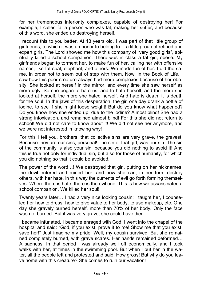for her tremendous inferiority complexes, capable of destroying her! For example, I called fat a person who was fat, making her suffer, and because of this word, she ended up destroying herself.

I recount this to you better. At 13 years old, I was part of that little group of girlfriends, to which it was an honor to belong to... a little group of refined and expert girls. The Lord showed me how this company of "very good girls", spiritually killed a school companion. There was in class a fat girl, obese. My girlfriends began to torment her, to make fun of her, calling her with offensive names, like fat seal, elephant, and others. We made fun of her. I did the same, in order not to seem out of step with them. Now, in the Book of Life, I saw how this poor creature always had more complexes because of her obesity. She looked at herself in the mirror, and every time she saw herself as more ugly. So she began to hate us, and to hate herself; and the more she looked at herself, the more she hated herself. And hate is death, it is death for the soul. In the jaws of this desperation, the girl one day drank a bottle of iodine, to see if she might loose weight! But do you know what happened? Do you know how she ended up, due to the iodine? Almost blind! She had a strong intoxication, and remained almost blind! For this she did not return to school! We did not care to know about it! We did not see her anymore, and we were not interested in knowing why!

For this I tell you, brothers, that collective sins are very grave, the gravest. Because they are our sins, personal! The sin of that girl, was our sin. The sin of the community is also your sin, because you did nothing to avoid it! And this is true not only for individual sin, but also for those of humanity, for which you did nothing so that it could be avoided.

The power of the word...! We destroyed that girl, putting on her nicknames; the devil entered and ruined her, and now she can, in her turn, destroy others, with her hate, in this way the currents of evil go forth forming themselves. Where there is hate, there is the evil one. This is how we assassinated a school companion. We killed her soul!

Twenty years later... I had a very nice looking cousin; I taught her, I counseled her how to dress, how to give value to her body, to use makeup, etc. One day she gravely burned herself, more than 70% of her body. Only the face was not burned. But it was very grave, she could have died.

I became infuriated, I became enraged with God; I went into the chapel of the hospital and said: "God, if you exist, prove it to me! Show me that you exist, save her!" Just imagine my pride! Well, my cousin survived. But she remained completely burned, with grave scares. Her hands remained deformed... A sadness. In that period I was already well off economically, and I took walks with her, at times in the swimming pool. But when I put her in the water, all the people left and protested and said: How gross! But why do you leave home with this creature? She comes to ruin our vacation!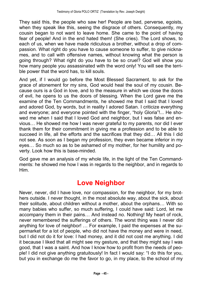They said this, the people who saw her! People are bad, perverse, egoists, when they speak like this, seeing the disgrace of others. Consequently, my cousin began to not want to leave home. She came to the point of having fear of people! And in the end hated them! (She cries). The Lord shows, to each of us, when we have made ridiculous a brother, without a drop of compassion. What right do you have to cause someone to suffer, to give nicknames, and to call with offensive names, without knowing what the person is going through? What right do you have to be so cruel? God will show you how many people you assassinated with the word only! You will see the terrible power that the word has, to kill souls.

And yet, if I would go before the Most Blessed Sacrament, to ask for the grace of atonement for my sins, God would heal the soul of my cousin. Because ours is a God in love, and to the measure in which we close the doors of evil, he opens to us the doors of blessing. When the Lord gave me the examine of the Ten Commandments, he showed me that I said that I loved and adored God, by words, but in reality I adored Satan. I criticize everything and everyone; and everyone pointed with the finger, "holy Gloria"!... He showed me when I said that I loved God and neighbor, but I was false and envious... He showed me how I was never grateful to my parents, nor did I ever thank them for their commitment in giving me a profession and to be able to succeed in life, all the efforts and the sacrifices that they did... All this I did not see. As soon as I began my profession, they even became inferior in my eyes... So much so as to be ashamed of my mother, for her humility and poverty. Look how this is base-minded.

God gave me an analysis of my whole life, in the light of the Ten Commandments: he showed me how I was in regards to the neighbor, and in regards to Him.

## **Love Neighbor**

Never, never, did I have love, nor compassion, for the neighbor, for my brothers outside. I never thought, in the most absolute way, about the sick, about their solitude, about children without a mother, about the orphans... With so many babies who suffer, so much suffering, I could have said: Lord, let me accompany them in their pains... And instead no. Nothing! My heart of rock, never remembered the sufferings of others. The worst thing was I never did anything for love of neighbor! ... For example, I paid the expenses at the supermarket for a lot of people, who did not have the money and were in need, but I did not do it for love: I had money, and it did not cost me anything. I did it because I liked that all might see my gesture, and that they might say I was good, that I was a saint. And how I know how to profit from the needs of people! I did not give anything gratuitously! In fact I would say: "I do this for you, but you in exchange do me the favor to go, in my place, to the school of my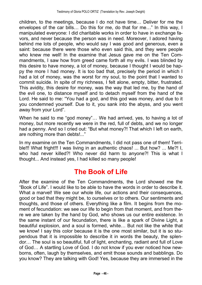children, to the meetings, because I do not have time... Deliver for me the envelopes of the car bills... Do this for me, do that for me..." In this way, I manipulated everyone: I did charitable works in order to have in exchange favors, and never because the person was in need. Moreover, I adored having behind me lots of people, who would say I was good and generous, even a saint: because there were those who even said this, and they were people who knew me well! In the examine that Jesus gave me on the Ten Commandments, I saw how from greed came forth all my evils. I was blinded by this desire to have money, a lot of money, because I thought I would be happy the more I had money. It is too bad that, precisely the period in which I had a lot of money, was the worst for my soul, to the point that I wanted to commit suicide. In spite of my richness, I felt alone, empty, bitter, frustrated. This avidity, this desire for money, was the way that led me, by the hand of the evil one, to distance myself and to detach myself from the hand of the Lord. He said to me: "You had a god, and this god was money, and due to it you condemned yourself. Due to it, you sank into the abyss, and you went away from your Lord".

When he said to me "god money"... We had arrived, yes, to having a lot of money, but more recently we were in the red, full of debts, and we no longer had a penny. And so I cried out: "But what money?! That which I left on earth, are nothing more than debts!...

In my examine on the Ten Commandments, I did not pass one of them! Terrible!!! What fright!!! I was living in an authentic chaos! ... But how? ... Me?! I, who had never killed?! Who never did harm to anyone?! This is what I thought... And instead yes, I had killed so many people!

## **The Book of Life**

After the examine of the Ten Commandments, the Lord showed me the "Book of Life". I would like to be able to have the words in order to describe it. What a marvel! We see our whole life, our actions and their consequences, good or bad that they might be, to ourselves or to others. Our sentiments and thoughts, and those of others. Everything like a film. It begins from the moment of fecundation: we see our life to begin from that moment, and from there we are taken by the hand by God, who shows us our entire existence. In the same instant of our fecundation, there is like a spark of Divine Light, a beautiful explosion, and a soul is formed, white... But not like the white that we know! I say this color because it is the one most similar, but it is so stupendous that it is impossible to describe it in words the beauty, the splendor... The soul is so beautiful, full of light, enchanting, radiant and full of Love of God... A startling Love of God. I do not know if you ever noticed how newborns, often, laugh by themselves, and emit those sounds and babblings. Do you know? They are talking with God! Yes, because they are immersed in the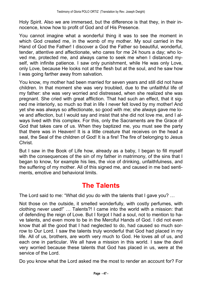Holy Spirit. Also we are immersed, but the difference is that they, in their innocence, know how to profit of God and of His Presence.

You cannot imagine what a wonderful thing it was to see the moment in which God created me, in the womb of my mother. My soul carried in the Hand of God the Father! I discover a God the Father so beautiful, wonderful, tender, attentive and affectionate, who cares for me 24 hours a day; who loved me, protected me, and always came to seek me when I distanced myself, with infinite patience. I saw only punishment, while He was only Love, only Love, because He looks not at the flesh but at the soul, and he saw how I was going farther away from salvation.

You know, my mother had been married for seven years and still did not have children. In that moment she was very troubled, due to the unfaithful life of my father: she was very worried and distressed, when she realized she was pregnant. She cried with great affliction. That had such an effect, that it signed me interiorly, so much so that in life I never felt loved by my mother! And yet she was always so affectionate, so good with me; she always gave me love and affection, but I would say and insist that she did not love me, and I always lived with this complex. For this, only the Sacraments are the Grace of God that takes care of us. When they baptized me, you must see the party that there was in Heaven! It is a little creature that receives on the head a seal, the Seal of the children of God! It is a fire! The fire of belonging to Jesus Christ.

But I saw in the Book of Life how, already as a baby, I began to fill myself with the consequences of the sin of my father in matrimony, of the sins that I began to know, for example his lies, the vice of drinking, unfaithfulness, and the suffering of my mother. All of this signed me, and caused in me bad sentiments, emotive and behavioral limits.

## **The Talents**

The Lord said to me: "What did you do with the talents that I gave you? ...

Not those on the outside, it smelled wonderfully, with costly perfumes, with clothing never used!" ... Talents?! I came into the world with a mission: that of defending the reign of Love. But I forgot I had a soul, not to mention to have talents, and even more to be in the Merciful Hands of God. I did not even know that all the good that I had neglected to do, had caused so much sorrow to Our Lord. I saw the talents truly wonderful that God had placed in my life. All of us, brothers, are worth very much to God. He loves all of us, and each one in particular. We all have a mission in this world. I saw the devil very worried because these talents that God has placed in us, were at the service of the Lord.

Do you know what the Lord asked me the most to render an account for? For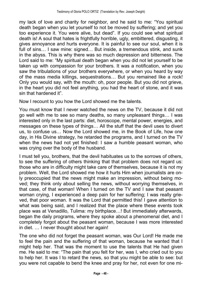my lack of love and charity for neighbor, and he said to me: You spiritual death began when you let yourself to not be moved by suffering; and yet you too experience it. You were alive, but dead". If you could see what spiritual death is! A soul that hates is frightfully horrible, ugly, embittered, disgusting, it gives annoyance and hurts everyone. It is painful to see our soul, when it is full of sins... I saw mine: signed... But inside, a tremendous stink, and sunk in the abyss. This is why there was so much depression and bitterness. The Lord said to me: "My spiritual death began when you did not let yourself to be taken up with compassion for your brothers. It was a notification, when you saw the tribulations of your brothers everywhere, or when you heard by way of the mass media killings, sequestrations... But you remained like a rock! Only you would say, with the mouth: oh, poor people. But you did not grieve, in the heart you did not feel anything, you had the heart of stone, and it was sin that hardened it".

Now I recount to you how the Lord showed me the talents.

You must know that I never watched the news on the TV, because it did not go well with me to see so many deaths, so many unpleasant things& I was interested only in the last parts: diet, horoscope, mental power, energies, and messages on these types of things... All the stuff that the devil uses to divert us, to confuse us... Now the Lord showed me, in the Book of Life, how one day, in His Divine strategy, he retarded the programs, and I turned on the TV when the news had not yet finished: I saw a humble peasant woman, who was crying over the body of the husband.

I must tell you, brothers, that the devil habituates us to the sorrows of others, to see the suffering of others thinking that that problem does not regard us: those who are in difficulty might take care of themselves, because it is not my problem. Well, the Lord showed me how it hurts Him when journalists are only preoccupied that the news might make an impression, without being moved; they think only about selling the news, without worrying themselves, in that case, of that woman! When I turned on the TV and I saw that peasant woman crying, I experienced a deep pain for her suffering; I was really grieved, that poor woman. It was the Lord that permitted this! I gave attention to what was being said, and I realized that the place where these events took place was at Venadillo, Tulima: my birthplace...! But immediately afterwards, began the daily programs, where they spoke about a phenomenal diet, and I completely forgot about the peasant woman, because I was more interested in diet. ... I never thought about her again!

The one who did not forget the peasant woman, was Our Lord! He made me to feel the pain and the suffering of that woman, because he wanted that I might help her. That was the moment to use the talents that He had given me. He said to me: The pain that you felt for her, was I, who cried out to you to help her. It was I to retard the news, so that you might be able to see: but you were not capable to bend the knee and pray for her, not even for one mi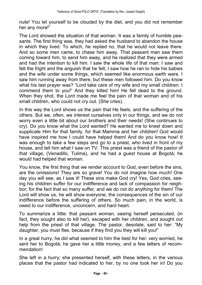nute! You let yourself to be clouded by the diet, and you did not remember her any more!

The Lord showed the situation of that woman. It was a family of humble peasants. The first thing was, they had asked the husband to abandon the house in which they lived. To which, he replied no, that he would not leave there. And so some men came, to chase him away. That peasant man saw them coming toward him, to send him away, and he realized that they were armed and had the intention to kill him. I saw the whole life of that man: I saw and felt the fright and the anguish that he felt; I saw how he ran to hide his babies and the wife under some things, which seemed like enormous earth ware. I saw him running away from there, but these men followed him. Do you know what his last prayer was? "Lord take care of my wife and my small children: I commend them to you!" And they killed him! He fell dead to the ground. When they shot, the Lord made me feel the pain of that woman and of his small children, who could not cry out. (She cries).

In this way the Lord shows us the pain that He feels, and the suffering of the others. But we, often, we interest ourselves only in our things, and we do not worry even a little bit about our brothers and their needs! (She continues to cry). Do you know what the Lord wanted? He wanted me to kneel down and supplicate Him for that family, for that Mamma and her children! God would have inspired me how I could have helped them! And do you know how! It was enough to take a few steps and go to a priest, who lived in front of my house, and tell him what I saw on TV. This priest was a friend of the pastor of that village, (Venadillo, Tulima), and he had a guest house at Bogotà; he would had helped that woman.

You know, the first thing that we render account to God, even before the sins, are the omissions! They are so grave! You do not imagine how much! One day you will see, as I saw it! These sins make God cry! Yes, God cries, seeing his children suffer for our indifference and lack of compassion for neighbor; for the fact that so many suffer, and we do not do anything for them! The Lord will show us, he will show everyone, the consequences of the sin of our indifference before the suffering of others. So much pain, in the world, is owed to our indifference, unconcern, and hard heart.

To summarize a little: that peasant woman, seeing herself persecuted, (in fact, they sought also to kill her), escaped with her children, and sought out help from the priest of that village. The pastor, desolate, said to her: "My daughter, you must flee, because if they find you they will kill you!

In a great hurry, he did what seemed to him the best for her: very worried, he sent her to Bogotà; he gave her a little money, and a few letters of recommendation!

She left in a hurry; she presented herself, with these letters, in the various places that the pastor had indicated to her, by no one took her in! Do you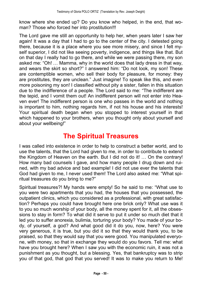know where she ended up? Do you know who helped, in the end, that woman? Those who forced her into prostitution!!!

The Lord gave me still an opportunity to help her, when years later I saw her again! It was a day that I had to go to the center of the city. I detested going there, because it is a place where you see more misery, and since I felt myself superior, I did not like seeing poverty, indigence, and things like that. But on that day I really had to go there, and while we were passing there, my son asked me: "Oh! ... Mamma, why in the world does that lady dress in that way, and wears the skirt so short?" I answered him: "Do not look, my son! These are contemptible women, who sell their body for pleasure, for money: they are prostitutes, they are unclean." Just imagine! To speak like this, and even more poisoning my son! I classified without pity a sister, fallen in this situation due to the indifference of a people. The Lord said to me: The indifferent are the tepid, and I vomit them out! An indifferent person will not enter into Heaven ever! The indifferent person is one who passes in the world and nothing is important to him, nothing regards him, if not his house and his interests! Your spiritual death began when you stopped to interest yourself in that which happened to your brothers, when you thought only about yourself and about your wellbeing!

## **The Spiritual Treasures**

I was called into existence in order to help to construct a better world, and to use the talents, that the Lord had given to me, in order to contribute to extend the Kingdom of Heaven on the earth. But I did not do it!  $\ldots$  On the contrary! How many bad counsels I gave, and how many people I drug down and ruined, with my bad advice and bad example! I did not use ever the talents that God had given to me, I never used them! The Lord also asked me: What spiritual treasures do you bring to me?

Spiritual treasures?! My hands were empty! So he said to me: What use to you were two apartments that you had, the houses that you possessed, the outpatient clinics, which you considered as a professional, with great satisfaction? Perhaps you could have brought here one brick only? What use was it to you so much worship of your body, all the money spent for it, all the obsessions to stay in form? To what did it serve to put it under so much diet that it led you to suffer anorexia, bulimia, torturing your body? You made of your body, of yourself, a god? And what good did it do you, now, here? You were very generous, it is true, but you did it so that they would thank you, to be praised, so that they would say that you were good. You manipulated everyone, with money, so that in exchange they would do you favors. Tell me: what have you brought here? When I saw you with the economic ruin, it was not a punishment as you thought, but a blessing. Yes, that bankruptcy was to strip you of that god, that god that you served! It was to make you return to Me!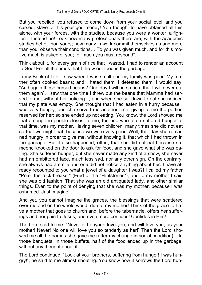But you rebelled, you refused to come down from your social level, and you cursed, slave of this your god money! You thought to have obtained all this alone, with your forces, with the studies, because you were a worker, a fighter... Instead no! Look how many professionals there are, with the academic studies better than yours; how many in work commit themselves as and more than you: observe their conditions... To you was given much, and for this motive much is asked of you; for much you must respond".

Think about it, for every grain of rice that I wasted, I had to render an account to God! For all the times that I threw out food in the garbage!

In my Book of Life, I saw when I was small and my family was poor. My mother often cooked beans; and I hated them, I detested them. I would say: And again these cursed beans? One day I will be so rich, that I will never eat them again". I saw that one time I threw out the beans that Mamma had served to me, without her noticing it, and when she sat down to eat she noticed that my plate was empty. She thought that I had eaten in a hurry because I was very hungry, and she served me another time, giving to me the portion reserved for her: so she ended up not eating. You know, the Lord showed me that among the people closest to me, the one who often suffered hunger at that time, was my mother. Having seven children, many times she did not eat so that we might eat, because we were very poor. Well, that day she remained hungry in order to give me, without knowing it, that which I had thrown in the garbage. But it also happened, often, that she did not eat because someone knocked on the door to ask for food, and she gave what she was eating. She suffered hunger, but she never made any kind of a show, she never had an embittered face, much less sad, nor any other sign. On the contrary, she always had a smile and one did not notice anything about her. I have already recounted to you what a jewel of a daughter I was?! I called my father "Peter the rock-breaker" (Fred of the "Flintstones"), and to my mother I said she was old fashion! That she was an old antiquated lady, and other similar things. Even to the point of denying that she was my mother, because I was ashamed. Just imagine!...

And yet, you cannot imagine the graces, the blessings that were scattered over me and on the whole world, due to my mother! Think of the grace to have a mother that goes to church and, before the tabernacle, offers her sufferings and her pain to Jesus, and even more confides! Confides in Him!

The Lord said to me: "Never did anyone love you, and will love you, as your mother! Never! No one will love you so tenderly as her!" Then the Lord showed me all the parties she gave me (after my change in social condition)... In those banquets, in those buffets, half of the food ended up in the garbage, without any thought about it.

The Lord continued: "Look at your brothers, suffering from hunger! I was hungry!", he said to me almost shouting. You know how it sorrows the Lord hun-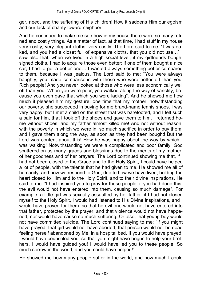ger, need, and the suffering of His children! How it saddens Him our egoism and our lack of charity toward neighbor!

And he continued to make me see how in my house there were so many refined and costly things. As a matter of fact, at that time, I had stuff in my house very costly, very elegant cloths, very costly. The Lord said to me: "I was naked, and you had a closet full of expensive cloths, that you did not use..." I saw also that, when we lived in a high social level, if my girlfriends bought signed cloths, I had to acquire those even better; if one of them bought a nice car, I had to get a better one... I wanted always something better compared to them, because I was jealous. The Lord said to me: "You were always haughty; you made comparisons with those who were better off than you! Rich people! And you never looked at those who were less economically well off than you. When you were poor, you walked along the way of sanctity, because you even gave that which you were lacking". And he showed me how much it pleased him my gesture, one time that my mother, notwithstanding our poverty, she succeeded in buying for me brand-name tennis shoes. I was very happy, but I met a child on the street that was barefooted, and I felt such a pain for him, that I took off the shoes and gave them to him. I returned home without shoes, and my father almost killed me! And not without reason: with the poverty in which we were in, so much sacrifice in order to buy them. and I gave them along the way, as soon as they had been bought! But the Lord was content about this! How he was happy about the way by which I was walking! Notwithstanding we were a complicated and poor family, God scattered on us many graces and blessings due to the merits of my mother, of her goodness and of her prayers. The Lord continued showing me that, if I had not been closed to the Grace and to the Holy Spirit, I could have helped a lot of people, with the talents that he had given to me. He showed me all of humanity, and how we respond to God, due to how we have lived, holding the heart closed to Him and to the Holy Spirit, and to their divine inspirations. He said to me: "I had inspired you to pray for these people: if you had done this, the evil would not have entered into them, causing so much damage". For example: a little girl was sexually assaulted by her father: if I had not closed myself to the Holy Spirit, I would had listened to His Divine inspirations, and I would have prayed for them: so that he evil one would not have entered into that father, protected by the prayer, and that violence would not have happened, nor would have cause so much suffering. Or also, that young boy would not have committed suicide. The Lord continued saying to me: "If you might have prayed, that girl would not have aborted, that person would not be dead feeling herself abandoned by Me, in a hospital bed. If you would have prayed, I would have counseled you, so that you might have begun to help your brothers. I would have guided you! I would have led you to these people. So much sorrow in the world, and you could have helped!"

He showed me how many people suffer in the world, and how much I could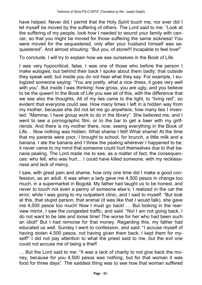have helped. Never did I permit that the Holy Spirit touch me, nor ever did I let myself be moved by the suffering of others. The Lord said to me: "Look at the suffering of my people, look how I needed to wound your family with cancer, so that you might be moved for those suffering the same sickness! You were moved for the sequestered, only after your husband himself was sequestered". And almost shouting: "But you, of stone!!! Incapable to feel love!"

To conclude, I will try to explain how we see ourselves in the Book of Life.

I was very hypocritical, false. I was one of those who before the person I make eulogies, but behind their back I spoke about them badly; that outside they speak well, but inside you do not hear what they say. For example, I eulogized someone saying: "You are pretty, what a nice dress, it goes very well with you". But inside I was thinking: how gross, you are ugly, and you believe to be the queen! In the Book of Life you see all of this, with the difference that we see also the thoughts. All of my lies came to the light, to "living red", so evident that everyone could see. How many times I left in a hidden way from my mother, because she did not let me go anywhere, how many lies I invented: "Mamma, I have group work to do in the library". She believed me, and I went to see a pornographic film, or to the bar to get a beer with my girlfriends. And there is my mother there, now, seeing everything in the Book of Life... Now nothing was hidden. What shame I felt! What shame! At the time that my parents were poor, I brought to school, for brunch, a little milk and a banana. I ate the banana and I threw the pealing wherever I happened to be; it never came to my mind that someone could hurt themselves due to that banana pealing. The Lord made me to see, as a matter of fact, the consequences: who fell, who was hurt... I could have killed someone, with my recklessness and lack of mercy.

I saw, with great pain and shame, how only one time did I make a good confession, as an adult. It was when a lady gave me 4,500 pesos in change too much, in a supermarket in Bogotà. My father had taught us to be honest, and never to touch not even a penny of someone else's; I realized in the car the error, while I was going to my outpatient clinic, and I said to myself: "But look at this, that stupid person, that animal (it was like that I would talk), she gave me 4,500 pesos too much! Now I must go back! ... But looking in the rearview mirror, I saw the congested traffic, and said: "No! I am not going back, I do not want to be late and loose time! The worse for her who had been such an idiot!" But I had remorse for that money. Regarding this, my father had educated us well. Sunday I went to confession, and said: "I accuse myself of having stolen 4,500 pesos, not having given them back; I kept them for myself!" I did not pay attention to what the priest said to me, but the evil one could not accuse me of being a thief!

... But the Lord said to me: "It was a lack of charity to not give back the money, because for you 4,500 pesos was nothing, but for that woman it was food for three days". The saddest thing was to see how that woman suffered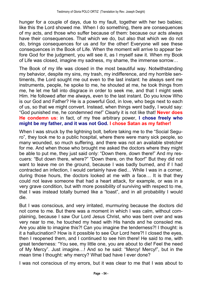hunger for a couple of days, due to my fault, together with her two babies; like this the Lord showed me. When I do something, there are consequences of my acts, and those who suffer because of them: because our acts always have their consequences. That which we do, but also that which we do not do, brings consequences for us and for the other! Everyone will see these consequences in the Book of Life. When the moment will arrive to appear before God for the judgment, you will see it, as I myself saw it. When my Book of Life was closed, imagine my sadness, my shame, the immense sorrow...

The Book of my life was closed in the most beautiful way. Notwithstanding my behavior, despite my sins, my trash, my indifference, and my horrible sentiments, the Lord sought me out even to the last instant: he always sent me instruments, people, he spoke to me, he shouted at me, he took things from me, he let me fall into disgrace in order to seek me, and that I might seek Him. He followed after me always, even to the last instant. Do you know Who is our God and Father? He is a powerful God, in love, who begs next to each of us, so that we might convert. Instead, when things went badly, I would say: God punished me, he condemned me! Clearly it is not like that! **Never does He condemn us:** in fact, of my free arbitrary power, **I chose freely who might be my father, and it was not God. I chose Satan as my father!**

When I was struck by the lightning bolt, before taking me to the "Social Seguro", they took me to a public hospital, where there were many sick people, so many wounded, so much suffering, and there was not an available stretcher for me. And when those who brought me asked the doctors where they might be able to put me, they just said only: "Down there, down there!" And my rescuers: "But down there, where?" "Down there, on the floor!" But they did not want to leave me on the ground, because I was badly burned, and if I had contracted an infection, I would certainly have died... While I was in a corner, during those hours, the doctors looked at me with a face... It is that they could not leave someone that had a heart attack, for example, or was in a very grave condition, but with more possibility of surviving with respect to me, that I was instead totally burned like a "toast", and in all probability I would die.

But I was conscious, and very irritated, murmuring because the doctors did not come to me. But there was a moment in which I was calm, without complaining, because I saw Our Lord Jesus Christ, who was bent over and was very near to me, he touched my head with His hands and he consoled me. Are you able to imagine this?! Can you imagine the tenderness?! I thought: is it a hallucination? How is it possible to see Our Lord here?! I closed the eyes, then I reopened them, and I continued to see him there! He said to me, with great tenderness: You see, my little one, you are about to die! Feel the need of My Mercy". Just imagine...! And so he said: "Mercy! Mercy!", but in the mean time I thought: why mercy? What bad have I ever done?

I was not conscious of my errors, but it was clear to me that I was about to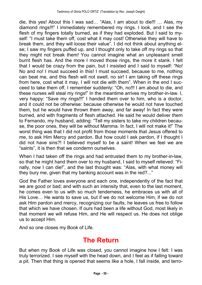die, this yes! About this I was sad... "Alas, I am about to die!!!  $\ldots$  Alas, my diamond rings!!!" I immediately remembered my rings. I look, and I see the flesh of my fingers totally burned, as if they had exploded. But I said to myself: "I must take them off, cost what it may cost! Otherwise they will have to break them, and they will loose their value". I did not think about anything else; I saw my fingers puffed up, and I thought only to take off my rings so that they might not break them! You cannot imagine what an unpleasant smell burnt flesh has. And the more I moved those rings, the more it stank. I felt that I would be crazy from the pain, but I insisted and I said to myself: "No! No and no! I must succeed in this! I must succeed, because to me, nothing can beat me, and this flesh will not swell, no sir! I am taking off these rings from here, cost what it may, I will not die with them". When in the end I succeed to take them off, I remember suddenly: "Oh, no!!! I am about to die, and these nurses will steal my rings!" In the meantime arrives my brother-in-law. I, very happy: "Save my rings!!!" I handed them over to him, who is a doctor, and it could not be otherwise: because otherwise he would not have touched them, but he would have thrown them away, and far away! In fact they were burned, and with fragments of flesh attached. He said he would deliver them to Fernando, my husband, adding: "Tell my sisters to take my children because, the poor ones, they will be without Mamma. In fact, I will not make it!" The worst thing was that I did not profit from those moments that Jesus offered to me, to ask Him Mercy and pardon. But how could I ask pardon, if I thought I did not have sins?! I believed myself to be a saint! When we feel we are "saints", it is then that we condemn ourselves.

When I had taken off the rings and had entrusted them to my brother-in-law, so that he might hand them over to my husband, I said to myself relieved: "Finally, now I can die!", and the last thought was: "Alas, with what money will they bury me, given that my banking account was in the red?..."

God the Father loves everyone and each one, independently of the fact that we are good or bad; and with such an intensity that, even to the last moment, he comes even to us with so much tenderness, he embraces us with all of His Love... He wants to save us, but if we do not welcome Him, if we do not ask Him pardon and mercy, recognizing our faults, he leaves us free to follow that which we have chosen. If ours had been a life without God, most likely in that moment we will refuse Him, and He will respect us. He does not oblige us to accept Him.

And so one closes my Book of Life.

## **The Return**

But when my Book of Life was closed, you cannot imagine how I felt: I was truly terrorized. I see myself with the head down, and I feel as if falling toward a pit. Then that thing is opened that seems like a hole, I fall inside, and terro-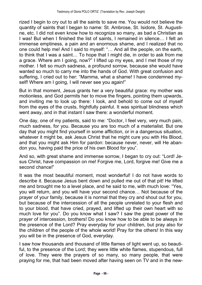rized I begin to cry out to all the saints to save me. You would not believe the quantity of saints that I began to name: St. Ambrose, St. Isidore, St. Augustine, etc. I did not even know how to recognize so many, as bad a Christian as I was! But when I finished the list of saints, I remained in silence... I felt an immense emptiness, a pain and an enormous shame, and I realized that no one could help me! And I said to myself: "... And all the people, on the earth, to think that I was a saint... To hope that I might die, in order to ask from me a grace. Where am I going, now?" I lifted up my eyes, and I met those of my mother. I felt so much sadness, a profound sorrow, because she would have wanted so much to carry me into the hands of God. With great confusion and suffering, I cried out to her: "Mamma, what a shame! I have condemned myself! Where am I going, I will never see you again!"

But in that moment, Jesus grants her a very beautiful grace: my mother was motionless, and God permits her to move the fingers, pointing them upwards, and inviting me to look up there: I look, and behold to come out of myself from the eyes of the crusts, frightfully painful. It was spiritual blindness which went away, and in that instant I saw there: a wonderful moment.

One day, one of my patients, said to me: "Doctor, I feel very, very much pain, much sadness, for you. Because you are too much of a materialist. But one day that you might find yourself in some affliction, or in a dangerous situation, whatever it might be, ask Jesus Christ that he might cure you with His Blood, and that you might ask Him for pardon: because never, never, will He abandon you, having paid the price of his own Blood for you".

And so, with great shame and immense sorrow, I began to cry out: "Lord! Jesus Christ, have compassion on me! Forgive me, Lord, forgive me! Give me a second chance!"

It was the most beautiful moment, most wonderful! I do not have words to describe it. Because Jesus bent down and pulled me out of that pit! He lifted me and brought me to a level place, and he said to me, with much love: "Yes, you will return, and you will have your second chance... Not because of the prayer of your family, because it is normal that they cry and shout out for you, but because of the intercession of all the people unrelated to your flesh and to your blood, that have cried, prayed, and lifted up their own heart with so much love for you". Do you know what I saw? I saw the great power of the prayer of intercession, brothers! Do you know how to be able to be always in the presence of the Lord? Pray everyday for your children, but pray also for the children of the people of the whole world! Pray for the others! In this way you will be in the presence of God, everyday.

I saw how thousands and thousand of little flames of light went up, so beautiful, to the presence of the Lord; they were little white flames, stupendous, full of love. They were the prayers of so many, so many people, that were praying for me, that had been moved after having seen on TV and in the new-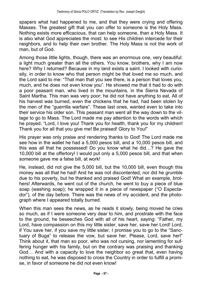spapers what had happened to me, and that they were crying and offering Masses. The greatest gift that you can offer to someone is the Holy Mass. Nothing exists more efficacious, that can help someone, than a Holy Mass. It is also what God appreciates the most: to see His children intercede for their neighbors, and to help their own brother. The Holy Mass is not the work of man, but of God.

Among those little lights, though, there was an enormous one, very beautiful: a light much greater than all the others. You know, brothers, why I am now here? Why I returned? Because in my land exists a saint. I looked with curiosity, in order to know who that person might be that loved me so much, and the Lord said to me: "That man that you see there, is a person that loves you, much, and he does not even know you". He showed me that it had to do with a poor peasant man, who lived in the mountains, in the Sierra Nevada of Saint Martha. This man was very poor; he did not have anything to eat. All of his harvest was burned, even the chickens that he had, had been stolen by the men of the "querrilla warfare". These last ones, wanted even to take into their service his older son. This peasant man went all the way down to the village to go to Mass. The Lord made me pay attention to the words with which he prayed: "Lord, I love you! Thank you for health, thank you for my children! Thank you for all that you give me! Be praised! Glory to You!"

His prayer was only praise and rendering thanks to God! The Lord made me see how in the wallet he had a 5,000 pesos bill, and a 10,000 pesos bill, and this was all that he possessed! Do you know what he did...? He gave the 10,000 bill at the offertory! I would put only a 5,000 pesos bill, and that when someone gave me a false bill, at work!

He, instead, did not give the 5,000 bill, but the 10,000 bill, even though this money was all that he had! And he was not discontented, nor did he grumble due to his poverty, but he thanked and praised God! What an example, brothers! Afterwards, he went out of the church, he went to buy a piece of blue soap (washing soap); he wrapped it in a piece of newspaper ("O Espectador"), of the day before. There was the news of my accident, and the photograph where I appeared totally burned.

When this man sees the news, as he reads it slowly, being moved he cries so much, as if I were someone very dear to him, and prostrate with the face to the ground, he beseeches God with all of his heart, saying: "Father, my Lord, have compassion on this my little sister, save her, save her Lord! Lord, if You save her, if you save my little sister, I promise you to go to the "Sanctuary of Buga" to release the vow, but save her. Please, Lord, save her!" Think about it, that man so poor, who was not cursing, nor lamenting for suffering hunger with his family, but on the contrary was praising and thanking God... And with a capacity to love the neighbor so great that, even having nothing to eat, he was disposed to cross the Country in order to fulfill a promise, in favor of someone he did not even know!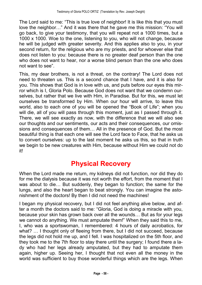The Lord said to me: This is true love of neighbor! It is like this that you must love the neighbor..." And it was there that he gave me this mission: "You will go back, to give your testimony, that you will repeat not a 1000 times, but a 1000 x 1000. Woe to the one, listening to you, who will not change, because he will be judged with greater severity. And this applies also to you, in your second return, for the religious who are my priests, and for whoever else that does not listen to you: because there is no greater deaf person than the one who does not want to hear, nor a worse blind person than the one who does not want to see".

This, my dear brothers, is not a threat, on the contrary! The Lord does not need to threaten us. This is a second chance that I have, and it is also for you. This shows that God is in love with us, and puts before our eyes this mirror which is I, Gloria Polo. Because God does not want that we condemn ourselves, but rather that we live with Him, in Paradise. But for this, we must let ourselves be transformed by Him. When our hour will arrive, to leave this world, also to each one of you will be opened the "Book of Life"; when you will die, all of you will pass through this moment, just as I passed through it. There, we will see exactly as now, with the difference that we will also see our thoughts and our sentiments, our acts and their consequences, our omissions and consequences of them... All in the presence of God. But the most beautiful thing is that each one will see the Lord face to Face, that he asks us to convert ourselves: up to the last moment he asks us this, so that in truth we begin to be new creatures with Him, because without Him we could not do it!

## **Physical Recovery**

When the Lord made me return, my kidneys did not function, nor did they do for me the dialysis because it was not worth the effort, from the moment that I was about to die... But suddenly, they began to function; the same for the lungs, and also the heart began to beat strongly. You can imagine the astonishment of the doctors! By then I did not need the machines!

I began my physical recovery, but I did not feel anything alive below, and after a month the doctors said to me: "Gloria, God is doing a miracle with you, because your skin has grown back over all the wounds... But as for your legs we cannot do anything. We must amputate them!" When they said this to me, I, who was a sportswoman, I remembered: 4 hours of daily acrobatics, for what? ... I thought only of fleeing from there, but I did not succeed, because the legs did not hold me up, and I fell. I was hospitalized on the 5th floor, and they took me to the 7th floor to stay there until the surgery; I found there a lady who had her legs already amputated, but they had to amputate them again, higher up. Seeing her, I thought that not even all the money in the world was sufficient to buy those wonderful things which are the legs. When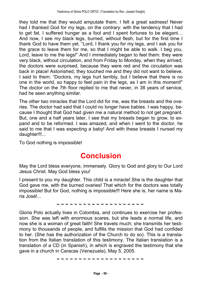they told me that they would amputate them, I felt a great sadness! Never had I thanked God for my legs, on the contrary: with the tendency that I had to get fat, I suffered hunger as a fool and I spent fortunes to be elegant... And now, I see my black legs, burned, without flesh, but for the first time I thank God to have them yet. "Lord, I thank you for my legs, and I ask you for the grace to leave them for me, so that I might be able to walk. I beg you, Lord, leave to me the legs!" And I immediately began to feel them: they were very black, without circulation, and from Friday to Monday, when they arrived, the doctors were surprised, because they were red and the circulation was back in place! Astonished, they touched me and they did not want to believe. I said to them: "Doctors, my legs hurt terribly, but I believe that there is no one in the world, so happy to feel pain in the legs, as I am in this moment! The doctor on the 7th floor replied to me that never, in 38 years of service, had he seen anything similar.

The other two miracles that the Lord did for me, was the breasts and the ovaries. The doctor had said that I could no longer have babies. I was happy, because I thought that God had given me a natural method to not get pregnant. But, one and a half years later, I see that my breasts began to grow, to expand and to be reformed. I was amazed, and when I went to the doctor, he said to me that I was expecting a baby! And with these breasts I nursed my daughter!!!...

To God nothing is impossible!

## **Conclusion**

May the Lord bless everyone, immensely. Glory to God and glory to Our Lord Jesus Christ. May God bless you!

I present to you my daughter. This child is a miracle! She is the daughter that God gave me, with the burned ovaries! That which for the doctors was totally impossible! But for God, nothing is impossible!!! Here she is, her name is Maria José!...

**~ ~ ~ ~ ~ ~ ~ ~ ~ ~ ~ ~ ~ ~ ~ ~ ~ ~ ~ ~**

Gloria Polo actually lives in Colombia, and continues to exercise her profession. She was left with enormous scares, but she leads a normal life, and now she is a woman of great faith! She travels much; she transmits her testimony to thousands of people, and fulfills the mission that God had confided to her. (She has the authorization of the Church to do so). This is a translation from the Italian translation of this testimony. The Italian translation is a translation of a CD (in Spanish), in which is engraved the testimony that she gave in a church in Caracas (Venezuela), May 5, 2005.